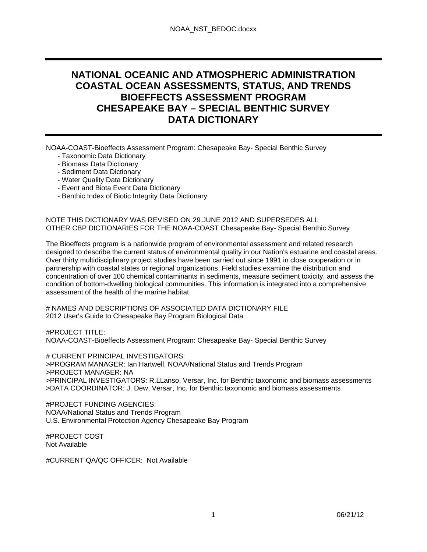# **NATIONAL OCEANIC AND ATMOSPHERIC ADMINISTRATION COASTAL OCEAN ASSESSMENTS, STATUS, AND TRENDS BIOEFFECTS ASSESSMENT PROGRAM CHESAPEAKE BAY – SPECIAL BENTHIC SURVEY DATA DICTIONARY**

NOAA-COAST-Bioeffects Assessment Program: Chesapeake Bay- Special Benthic Survey

- Taxonomic Data Dictionary
- Biomass Data Dictionary
- Sediment Data Dictionary
- Water Quality Data Dictionary
- Event and Biota Event Data Dictionary
- Benthic Index of Biotic Integrity Data Dictionary

NOTE THIS DICTIONARY WAS REVISED ON 29 JUNE 2012 AND SUPERSEDES ALL OTHER CBP DICTIONARIES FOR THE NOAA-COAST Chesapeake Bay- Special Benthic Survey

The Bioeffects program is a nationwide program of environmental assessment and related research designed to describe the current status of environmental quality in our Nation's estuarine and coastal areas. Over thirty multidisciplinary project studies have been carried out since 1991 in close cooperation or in partnership with coastal states or regional organizations. Field studies examine the distribution and concentration of over 100 chemical contaminants in sediments, measure sediment toxicity, and assess the condition of bottom-dwelling biological communities. This information is integrated into a comprehensive assessment of the health of the marine habitat.

# NAMES AND DESCRIPTIONS OF ASSOCIATED DATA DICTIONARY FILE 2012 User's Guide to Chesapeake Bay Program Biological Data

#PROJECT TITLE: NOAA-COAST-Bioeffects Assessment Program: Chesapeake Bay- Special Benthic Survey

# CURRENT PRINCIPAL INVESTIGATORS: >PROGRAM MANAGER: Ian Hartwell, NOAA/National Status and Trends Program >PROJECT MANAGER: NA >PRINCIPAL INVESTIGATORS: R.LLanso, Versar, Inc. for Benthic taxonomic and biomass assessments >DATA COORDINATOR: J. Dew, Versar, Inc. for Benthic taxonomic and biomass assessments

#PROJECT FUNDING AGENCIES: NOAA/National Status and Trends Program U.S. Environmental Protection Agency Chesapeake Bay Program

#PROJECT COST Not Available

#CURRENT QA/QC OFFICER: Not Available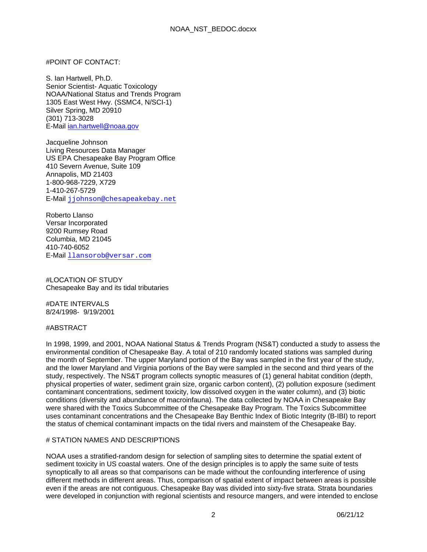#### #POINT OF CONTACT:

S. Ian Hartwell, Ph.D. Senior Scientist- Aquatic Toxicology NOAA/National Status and Trends Program 1305 East West Hwy. (SSMC4, N/SCI-1) Silver Spring, MD 20910 (301) 713-3028 E-Mail ian.hartwell@noaa.gov

Jacqueline Johnson Living Resources Data Manager US EPA Chesapeake Bay Program Office 410 Severn Avenue, Suite 109 Annapolis, MD 21403 1-800-968-7229, X729 1-410-267-5729 E-Mail jjohnson@chesapeakebay.net

Roberto Llanso Versar Incorporated 9200 Rumsey Road Columbia, MD 21045 410-740-6052 E-Mail llansorob@versar.com

#LOCATION OF STUDY Chesapeake Bay and its tidal tributaries

#DATE INTERVALS 8/24/1998- 9/19/2001

#### #ABSTRACT

In 1998, 1999, and 2001, NOAA National Status & Trends Program (NS&T) conducted a study to assess the environmental condition of Chesapeake Bay. A total of 210 randomly located stations was sampled during the month of September. The upper Maryland portion of the Bay was sampled in the first year of the study, and the lower Maryland and Virginia portions of the Bay were sampled in the second and third years of the study, respectively. The NS&T program collects synoptic measures of (1) general habitat condition (depth, physical properties of water, sediment grain size, organic carbon content), (2) pollution exposure (sediment contaminant concentrations, sediment toxicity, low dissolved oxygen in the water column), and (3) biotic conditions (diversity and abundance of macroinfauna). The data collected by NOAA in Chesapeake Bay were shared with the Toxics Subcommittee of the Chesapeake Bay Program. The Toxics Subcommittee uses contaminant concentrations and the Chesapeake Bay Benthic Index of Biotic Integrity (B-IBI) to report the status of chemical contaminant impacts on the tidal rivers and mainstem of the Chesapeake Bay.

#### # STATION NAMES AND DESCRIPTIONS

NOAA uses a stratified-random design for selection of sampling sites to determine the spatial extent of sediment toxicity in US coastal waters. One of the design principles is to apply the same suite of tests synoptically to all areas so that comparisons can be made without the confounding interference of using different methods in different areas. Thus, comparison of spatial extent of impact between areas is possible even if the areas are not contiguous. Chesapeake Bay was divided into sixty-five strata. Strata boundaries were developed in conjunction with regional scientists and resource mangers, and were intended to enclose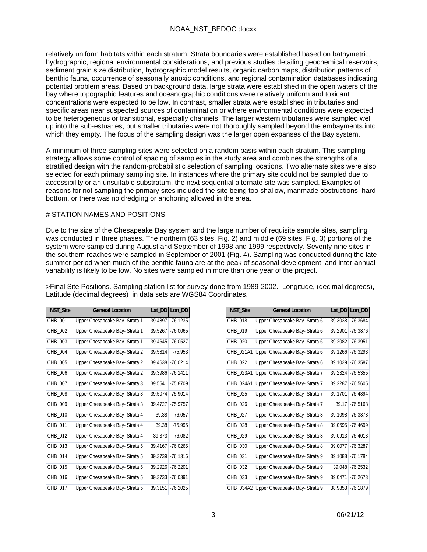relatively uniform habitats within each stratum. Strata boundaries were established based on bathymetric, hydrographic, regional environmental considerations, and previous studies detailing geochemical reservoirs, sediment grain size distribution, hydrographic model results, organic carbon maps, distribution patterns of benthic fauna, occurrence of seasonally anoxic conditions, and regional contamination databases indicating potential problem areas. Based on background data, large strata were established in the open waters of the bay where topographic features and oceanographic conditions were relatively uniform and toxicant concentrations were expected to be low. In contrast, smaller strata were established in tributaries and specific areas near suspected sources of contamination or where environmental conditions were expected to be heterogeneous or transitional, especially channels. The larger western tributaries were sampled well up into the sub-estuaries, but smaller tributaries were not thoroughly sampled beyond the embayments into which they empty. The focus of the sampling design was the larger open expanses of the Bay system.

A minimum of three sampling sites were selected on a random basis within each stratum. This sampling strategy allows some control of spacing of samples in the study area and combines the strengths of a stratified design with the random-probabilistic selection of sampling locations. Two alternate sites were also selected for each primary sampling site. In instances where the primary site could not be sampled due to accessibility or an unsuitable substratum, the next sequential alternate site was sampled. Examples of reasons for not sampling the primary sites included the site being too shallow, manmade obstructions, hard bottom, or there was no dredging or anchoring allowed in the area.

### # STATION NAMES AND POSITIONS

Due to the size of the Chesapeake Bay system and the large number of requisite sample sites, sampling was conducted in three phases. The northern (63 sites, Fig. 2) and middle (69 sites, Fig. 3) portions of the system were sampled during August and September of 1998 and 1999 respectively. Seventy nine sites in the southern reaches were sampled in September of 2001 (Fig. 4). Sampling was conducted during the late summer period when much of the benthic fauna are at the peak of seasonal development, and inter-annual variability is likely to be low. No sites were sampled in more than one year of the project.

>Final Site Positions. Sampling station list for survey done from 1989-2002. Longitude, (decimal degrees), Latitude (decimal degrees) in data sets are WGS84 Coordinates.

| NST_Site | <b>General Location</b>        | Lat DD  | Lon DD     |
|----------|--------------------------------|---------|------------|
| CHB_001  | Upper Chesapeake Bay- Strata 1 | 39.4897 | $-76$ 1235 |
| CHB_002  | Upper Chesapeake Bay- Strata 1 | 39.5267 | $-76.0065$ |
| CHB_003  | Upper Chesapeake Bay- Strata 1 | 39.4645 | $-76.0527$ |
| CHB_004  | Upper Chesapeake Bay- Strata 2 | 39.5814 | $-75.953$  |
| CHB_005  | Upper Chesapeake Bay- Strata 2 | 39.4638 | $-76.0214$ |
| CHB 006  | Upper Chesapeake Bay- Strata 2 | 39.3986 | $-76.1411$ |
| CHB_007  | Upper Chesapeake Bay- Strata 3 | 39.5541 | $-75.8709$ |
| CHB_008  | Upper Chesapeake Bay- Strata 3 | 39.5074 | $-75.9014$ |
| CHB_009  | Upper Chesapeake Bay- Strata 3 | 39.4727 | $-75.9757$ |
| CHB 010  | Upper Chesapeake Bay- Strata 4 | 39.38   | $-76.057$  |
| CHB 011  | Upper Chesapeake Bay- Strata 4 | 39.38   | $-75.995$  |
| CHB_012  | Upper Chesapeake Bay- Strata 4 | 39.373  | $-76.082$  |
| CHB_013  | Upper Chesapeake Bay- Strata 5 | 39.4167 | $-76.0265$ |
| CHB 014  | Upper Chesapeake Bay- Strata 5 | 39.3739 | $-76.1316$ |
| CHB_015  | Upper Chesapeake Bay- Strata 5 | 39.2926 | $-76.2201$ |
| CHB_016  | Upper Chesapeake Bay- Strata 5 | 39.3733 | $-76.0391$ |
| CHB_017  | Upper Chesapeake Bay- Strata 5 | 39.3151 | $-76.2025$ |

| NST_Site  | <b>General Location</b>        | Lat_DD  | Lon DD     |
|-----------|--------------------------------|---------|------------|
| CHB 018   | Upper Chesapeake Bay-Strata 6  | 39.3038 | $-76.3684$ |
| CHB_019   | Upper Chesapeake Bay-Strata 6  | 39.2901 | $-76.3876$ |
| CHB_020   | Upper Chesapeake Bay- Strata 6 | 39.2082 | $-76.3951$ |
| CHB_021A1 | Upper Chesapeake Bay- Strata 6 | 39.1266 | $-76.3293$ |
| CHB_022   | Upper Chesapeake Bay- Strata 6 | 39.1029 | $-76.3587$ |
| CHB_023A1 | Upper Chesapeake Bay- Strata 7 | 39.2324 | $-76.5355$ |
| CHB 024A1 | Upper Chesapeake Bay- Strata 7 | 39.2287 | -76.5605   |
| CHB_025   | Upper Chesapeake Bay- Strata 7 | 39.1701 | -76.4894   |
| CHB 026   | Upper Chesapeake Bay- Strata 7 | 39.17   | $-76.5168$ |
| CHB_027   | Upper Chesapeake Bay- Strata 8 | 39.1098 | $-76.3878$ |
| CHB_028   | Upper Chesapeake Bay- Strata 8 | 39.0695 | $-76.4699$ |
| CHB_029   | Upper Chesapeake Bay- Strata 8 | 39.0913 | -76.4013   |
| CHB_030   | Upper Chesapeake Bay- Strata 8 | 39.0077 | $-76.3287$ |
| CHB_031   | Upper Chesapeake Bay- Strata 9 | 39.1088 | $-76.1784$ |
| CHB_032   | Upper Chesapeake Bay- Strata 9 | 39.048  | $-76.2532$ |
| CHB_033   | Upper Chesapeake Bay- Strata 9 | 39.0471 | -76.2673   |
| CHB 034A2 | Upper Chesapeake Bay- Strata 9 | 38.9853 | $-76.1879$ |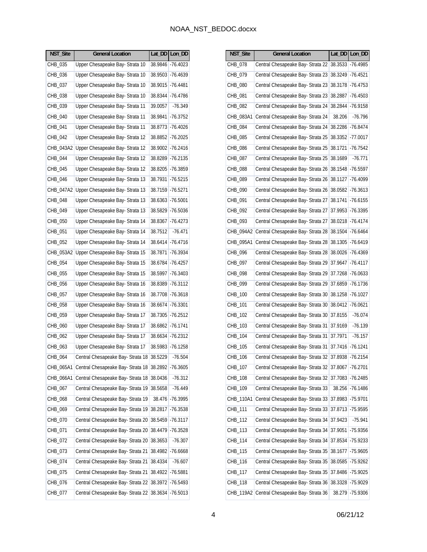| NST_Site                                 | Lat_DD   Lon_DD     |
|------------------------------------------|---------------------|
| CHB_035                                  | $-76.4023$          |
| Upper Chesapeake Bay- Strata 10          | 38.9846             |
| Upper Chesapeake Bay- Strata 10          | 38.9503             |
| CHB_036                                  | -76.4639            |
| Upper Chesapeake Bay- Strata 10          | $-76.4481$          |
| CHB 037                                  | 38.9015             |
| Upper Chesapeake Bay- Strata 10          | 38.8344             |
| CHB_038                                  | -76.4786            |
| Upper Chesapeake Bay- Strata 11          | $-76.349$           |
| CHB_039                                  | 39.0057             |
| Upper Chesapeake Bay- Strata 11          | $-76.3752$          |
| CHB_040                                  | 38.9841             |
| Upper Chesapeake Bay- Strata 11          | $-76.4026$          |
| CHB_041                                  | 38.8773             |
| Upper Chesapeake Bay- Strata 12          | $-76.2025$          |
| CHB_042                                  | 38.8852             |
| Upper Chesapeake Bay- Strata 12          | $-76.2416$          |
| CHB_043A2                                | 38.9002             |
| Upper Chesapeake Bay- Strata 12          | $-76.2135$          |
| CHB_044                                  | 38.8289             |
| Upper Chesapeake Bay- Strata 12          | 38.8205             |
| CHB_045                                  | $-76.3859$          |
| Upper Chesapeake Bay- Strata 13          | 38.7931             |
| CHB_046                                  | -76.5215            |
| Upper Chesapeake Bay- Strata 13          | 38.7159             |
| CHB 047A2                                | $-76.5271$          |
| Upper Chesapeake Bay- Strata 13          | 38.6363             |
| CHB_048                                  | $-76.5001$          |
| Upper Chesapeake Bay- Strata 13          | 38.5829             |
| CHB_049                                  | $-76.5036$          |
| Upper Chesapeake Bay- Strata 14          | 38.8367             |
| CHB_050                                  | $-76.4273$          |
| Upper Chesapeake Bay- Strata 14          | $-76.471$           |
| CHB_051                                  | 38.7512             |
| CHB_052                                  | 38.6414             |
| Upper Chesapeake Bay- Strata 14          | $-76.4716$          |
| CHB_053A2 Upper Chesapeake Bay-Strata 15 | 38.7871<br>-76.3934 |
| Upper Chesapeake Bay- Strata 15          | 38.6784             |
| CHB_054                                  | -76.4257            |
| Upper Chesapeake Bay- Strata 15          | 38.5997             |
| CHB_055                                  | $-76.3403$          |
| Upper Chesapeake Bay- Strata 16          | $-76.3112$          |
| CHB_056                                  | 38.8389             |
| Upper Chesapeake Bay- Strata 16          | $-76.3618$          |
| CHB_057                                  | 38.7708             |
| Upper Chesapeake Bay- Strata 16          | $-76.3301$          |
| CHB_058                                  | 38.6674             |
| Upper Chesapeake Bay- Strata 17          | $-76.2512$          |
| CHB_059                                  | 38.7305             |
| Upper Chesapeake Bay- Strata 17          | 38.6862             |
| CHB 060                                  | $-76.1741$          |
| Upper Chesapeake Bay- Strata 17          | 38.6634             |
| CHB_062                                  | $-76.2312$          |
| Upper Chesapeake Bay- Strata 17          | 38.5983             |
| CHB_063                                  | $-76.1258$          |
| Central Chesapeake Bay- Strata 18        | 38.5229             |
| CHB 064                                  | $-76.504$           |
| CHB_065A1                                | $-76.3605$          |
| Central Chesapeake Bay- Strata 18        | 38.2892             |
| Central Chesapeake Bay- Strata 18        | $-76.312$           |
| CHB_066A1                                | 38.0436             |
| Central Chesapeake Bay- Strata 19        | 38.5658             |
| CHB_067                                  | $-76.449$           |
| Central Chesapeake Bay- Strata 19        | -76.3995            |
| CHB_068                                  | 38.476              |
| Central Chesapeake Bay- Strata 19        | $-76.3538$          |
| CHB_069                                  | 38.2817             |
| Central Chesapeake Bay- Strata 20        | 38.5459             |
| CHB_070                                  | $-76.3117$          |
| CHB_071                                  | $-76.3528$          |
| Central Chesapeake Bay- Strata 20        | 38.4479             |
| Central Chesapeake Bay- Strata 20        | 38.3653             |
| CHB 072                                  | $-76.307$           |
| Central Chesapeake Bay- Strata 21        | 38.4982             |
| CHB_073                                  | -76.6668            |
| Central Chesapeake Bay- Strata 21        | $-76.607$           |
| CHB_074                                  | 38.4334             |
| Central Chesapeake Bay- Strata 21        | $-76.5881$          |
| CHB_075                                  | 38.4922             |
| CHB_076                                  | $-76.5493$          |
| Central Chesapeake Bay- Strata 22        | 38.3972             |
| Central Chesapeake Bay- Strata 22        | 38.3634             |
| CHB_077                                  | -76.5013            |

| NST_Site  | <b>General Location</b>           |         | Lat_DD Lon_DD |
|-----------|-----------------------------------|---------|---------------|
| CHB_078   | Central Chesapeake Bay- Strata 22 | 38.3533 | -76.4985      |
| CHB 079   | Central Chesapeake Bay- Strata 23 | 38.3249 | -76.4521      |
| CHB_080   | Central Chesapeake Bay- Strata 23 | 38.3178 | -76.4753      |
| CHB 081   | Central Chesapeake Bay- Strata 23 | 38.2887 | -76.4503      |
| CHB_082   | Central Chesapeake Bay- Strata 24 | 38.2844 | -76.9158      |
| CHB_083A1 | Central Chesapeake Bay- Strata 24 | 38.206  | $-76.796$     |
| CHB_084   | Central Chesapeake Bay- Strata 24 | 38.2286 | -76.8474      |
| CHB_085   | Central Chesapeake Bay- Strata 25 | 38.3352 | -77.0017      |
| CHB_086   | Central Chesapeake Bay- Strata 25 | 38.1721 | -76.7542      |
| CHB_087   | Central Chesapeake Bay- Strata 25 | 38.1689 | $-76.771$     |
| CHB_088   | Central Chesapeake Bay- Strata 26 | 38.1548 | $-76.5597$    |
| CHB_089   | Central Chesapeake Bay- Strata 26 | 38.1127 | $-76.4099$    |
| CHB 090   | Central Chesapeake Bay- Strata 26 | 38.0582 | $-76.3613$    |
| CHB_091   | Central Chesapeake Bay- Strata 27 | 38.1741 | -76.6155      |
| CHB_092   | Central Chesapeake Bay- Strata 27 | 37.9953 | -76.3395      |
| CHB_093   | Central Chesapeake Bay- Strata 27 | 38.0218 | -76.4174      |
| CHB_094A2 | Central Chesapeake Bay- Strata 28 | 38.1504 | $-76.6464$    |
| CHB 095A1 | Central Chesapeake Bay- Strata 28 | 38.1305 | $-76.6419$    |
| CHB_096   | Central Chesapeake Bay- Strata 28 | 38.0026 | $-76.4369$    |
| CHB_097   | Central Chesapeake Bay- Strata 29 | 37.9647 | $-76.4117$    |
| CHB_098   | Central Chesapeake Bay- Strata 29 | 37.7268 | $-76.0633$    |
| CHB_099   | Central Chesapeake Bay- Strata 29 | 37.6859 | -76.1736      |
| CHB_100   | Central Chesapeake Bay- Strata 30 | 38.1258 | -76.1027      |
| CHB_101   | Central Chesapeake Bay- Strata 30 | 38.0412 | $-76.0621$    |
| CHB_102   | Central Chesapeake Bay- Strata 30 | 37.8155 | $-76.074$     |
| CHB_103   | Central Chesapeake Bay- Strata 31 | 37.9169 | -76.139       |
| CHB 104   | Central Chesapeake Bay- Strata 31 | 37.7971 | $-76.157$     |
| CHB_105   | Central Chesapeake Bay- Strata 31 | 37.7416 | -76.1241      |
| CHB_106   | Central Chesapeake Bay- Strata 32 | 37.8938 | -76.2154      |
| CHB_107   | Central Chesapeake Bay- Strata 32 | 37.8067 | -76.2701      |
| CHB_108   | Central Chesapeake Bay- Strata 32 | 37.7083 | -76.2485      |
| CHB_109   | Central Chesapeake Bay- Strata 33 | 38.256  | -76.1486      |
| CHB_110A1 | Central Chesapeake Bay- Strata 33 | 37.8983 | -75.9701      |
| CHB_111   | Central Chesapeake Bay- Strata 33 | 37.8713 | -75.9595      |
| CHB_112   | Central Chesapeake Bay- Strata 34 | 37.9423 | $-75.941$     |
| CHB_113   | Central Chesapeake Bay- Strata 34 | 37.9051 | -75.9356      |
| CHB_114   | Central Chesapeake Bay- Strata 34 | 37.8534 | -75.9233      |
| CHB_115   | Central Chesapeake Bay- Strata 35 | 38.1677 | -75.9605      |
| CHB_116   | Central Chesapeake Bay- Strata 35 | 38.0585 | -75.9262      |
| CHB_117   | Central Chesapeake Bay- Strata 35 | 37.8486 | -75.9025      |
| CHB_118   | Central Chesapeake Bay- Strata 36 | 38.3328 | -75.9029      |
| CHB_119A2 | Central Chesapeake Bay- Strata 36 | 38.279  | -75.9306      |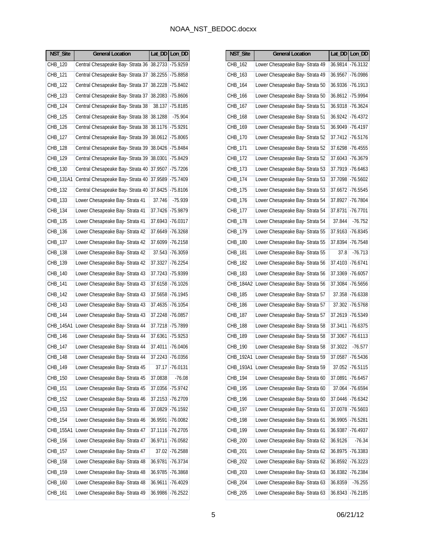| NST_Site  | <b>General Location</b>           |         | Lat_DD   Lon_DD |
|-----------|-----------------------------------|---------|-----------------|
| CHB_120   | Central Chesapeake Bay- Strata 36 | 38.2733 | $-75.9259$      |
| CHB_121   | Central Chesapeake Bay- Strata 37 | 38.2255 | -75.8858        |
| CHB_122   | Central Chesapeake Bay- Strata 37 | 38.2228 | -75.8402        |
| CHB_123   | Central Chesapeake Bay- Strata 37 | 38.2083 | -75.8606        |
| CHB_124   | Central Chesapeake Bay- Strata 38 | 38.137  | $-75.8185$      |
| CHB_125   | Central Chesapeake Bay- Strata 38 | 38.1288 | $-75.904$       |
| CHB_126   | Central Chesapeake Bay- Strata 38 | 38.1176 | -75.9291        |
| CHB_127   | Central Chesapeake Bay- Strata 39 | 38.0612 | $-75.8065$      |
| CHB 128   | Central Chesapeake Bay- Strata 39 | 38.0426 | $-75.8484$      |
| CHB_129   | Central Chesapeake Bay- Strata 39 | 38.0301 | -75.8429        |
| CHB_130   | Central Chesapeake Bay- Strata 40 | 37.9507 | $-75.7206$      |
| CHB_131A1 | Central Chesapeake Bay- Strata 40 | 37.9589 | -75.7409        |
| CHB 132   | Central Chesapeake Bay- Strata 40 | 37.8425 | -75.8106        |
| CHB_133   | Lower Chesapeake Bay- Strata 41   | 37.746  | -75.939         |
| CHB_134   | Lower Chesapeake Bay- Strata 41   | 37.7426 | -75.9879        |
| CHB_135   | Lower Chesapeake Bay- Strata 41   | 37.6943 | $-76.0317$      |
| CHB_136   | Lower Chesapeake Bay- Strata 42   | 37.6649 | $-76.3268$      |
| CHB_137   | Lower Chesapeake Bay- Strata 42   | 37.6099 | $-76.2158$      |
| CHB_138   | Lower Chesapeake Bay- Strata 42   | 37.543  | -76.3059        |
| CHB_139   | Lower Chesapeake Bay- Strata 42   | 37.3327 | $-76.2254$      |
| CHB_140   | Lower Chesapeake Bay- Strata 43   | 37.7243 | -75.9399        |
| CHB_141   | Lower Chesapeake Bay- Strata 43   | 37.6158 | $-76.1026$      |
| CHB_142   | Lower Chesapeake Bay- Strata 43   | 37.5658 | -76.1945        |
| CHB_143   | Lower Chesapeake Bay- Strata 43   | 37.4635 | $-76.1054$      |
| CHB_144   | Lower Chesapeake Bay- Strata 43   | 37.2248 | -76.0857        |
| CHB_145A1 | Lower Chesapeake Bay- Strata 44   | 37.7218 | -75.7899        |
| CHB_146   | Lower Chesapeake Bay- Strata 44   | 37.6361 | $-75.9253$      |
| CHB_147   | Lower Chesapeake Bay- Strata 44   | 37.4011 | -76.0406        |
| CHB_148   | Lower Chesapeake Bay- Strata 44   | 37.2243 | $-76.0356$      |
| CHB_149   | Lower Chesapeake Bay- Strata 45   | 37.17   | $-76.0131$      |
| CHB_150   | Lower Chesapeake Bay- Strata 45   | 37.0838 | $-76.08$        |
| CHB_151   | Lower Chesapeake Bay- Strata 45   | 37.0356 | $-75.9742$      |
| CHB_152   | Lower Chesapeake Bay- Strata 46   | 37.2153 | $-76.2709$      |
| CHB_153   | Lower Chesapeake Bay- Strata 46   | 37.0829 | $-76.1592$      |
| CHB_154   | Lower Chesapeake Bay- Strata 46   | 36.9591 | $-76.0082$      |
| CHB_155A1 | Lower Chesapeake Bay- Strata 47   | 37.1116 | $-76.2705$      |
| CHB_156   | Lower Chesapeake Bay- Strata 47   | 36.9711 | $-76.0582$      |
| CHB_157   | Lower Chesapeake Bay- Strata 47   | 37.02   | $-76.2588$      |
| CHB_158   | Lower Chesapeake Bay- Strata 48   | 36.9781 | $-76.3734$      |
| CHB_159   | Lower Chesapeake Bay- Strata 48   | 36.9785 | $-76.3868$      |
| CHB_160   | Lower Chesapeake Bay- Strata 48   | 36.9611 | $-76.4029$      |
| CHB_161   | Lower Chesapeake Bay- Strata 49   | 36.9986 | -76.2522        |

| NST_Site  | <b>General Location</b>         | Lat_DD  | Lon_DD            |
|-----------|---------------------------------|---------|-------------------|
| CHB_162   | Lower Chesapeake Bay- Strata 49 | 36.9814 | $-76.3132$        |
| CHB_163   | Lower Chesapeake Bay- Strata 49 | 36.9567 | -76.0986          |
| CHB_164   | Lower Chesapeake Bay- Strata 50 | 36.9336 | $-76.1913$        |
| CHB_166   | Lower Chesapeake Bay- Strata 50 | 36.8612 | $-75.9994$        |
| CHB_167   | Lower Chesapeake Bay- Strata 51 | 36.9318 | $-76.3624$        |
| CHB_168   | Lower Chesapeake Bay- Strata 51 | 36.9242 | $-76.4372$        |
| CHB 169   | Lower Chesapeake Bay- Strata 51 | 36.9049 | $-76.4197$        |
| CHB_170   | Lower Chesapeake Bay- Strata 52 | 37.7412 | $-76.5176$        |
| CHB_171   | Lower Chesapeake Bay- Strata 52 | 37.6298 | $-76.4555$        |
| CHB_172   | Lower Chesapeake Bay- Strata 52 | 37.6043 | $-76.3679$        |
| CHB_173   | Lower Chesapeake Bay- Strata 53 | 37.7919 | $-76.6463$        |
| CHB_174   | Lower Chesapeake Bay- Strata 53 | 37.7098 | $-76.5602$        |
| CHB 175   | Lower Chesapeake Bay- Strata 53 | 37.6672 | $-76.5545$        |
| CHB_176   | Lower Chesapeake Bay- Strata 54 | 37.8927 | $-76.7804$        |
| CHB_177   | Lower Chesapeake Bay- Strata 54 | 37.8731 | $-76.7701$        |
| CHB_178   | Lower Chesapeake Bay- Strata 54 | 37.844  | $-76.752$         |
| CHB_179   | Lower Chesapeake Bay- Strata 55 |         | 37.9163 - 76.8345 |
| CHB_180   | Lower Chesapeake Bay- Strata 55 | 37.8394 | $-76.7548$        |
| CHB_181   | Lower Chesapeake Bay- Strata 55 | 37.8    | $-76.713$         |
| CHB_182   | Lower Chesapeake Bay- Strata 56 | 37.4103 | $-76.6741$        |
| CHB_183   | Lower Chesapeake Bay- Strata 56 | 37.3369 | $-76.6057$        |
| CHB_184A2 | Lower Chesapeake Bay- Strata 56 | 37.3084 | $-76.5656$        |
| CHB_185   | Lower Chesapeake Bay- Strata 57 | 37.358  | $-76.6338$        |
| CHB_186   | Lower Chesapeake Bay- Strata 57 | 37.302  | $-76.5768$        |
| CHB_187   | Lower Chesapeake Bay- Strata 57 | 37.2619 | $-76.5349$        |
| CHB_188   | Lower Chesapeake Bay- Strata 58 | 37.3411 | $-76.6375$        |
| CHB_189   | Lower Chesapeake Bay- Strata 58 | 37.3067 | $-76.6113$        |
| CHB_190   | Lower Chesapeake Bay- Strata 58 | 37.3022 | -76.577           |
| CHB_192A1 | Lower Chesapeake Bay- Strata 59 | 37.0587 | $-76.5436$        |
| CHB_193A1 | Lower Chesapeake Bay- Strata 59 | 37.052  | $-76.5115$        |
| CHB_194   | Lower Chesapeake Bay- Strata 60 | 37.0891 | $-76.6457$        |
| CHB_195   | Lower Chesapeake Bay- Strata 60 | 37.064  | $-76.6594$        |
| CHB_196   | Lower Chesapeake Bay- Strata 60 | 37.0446 | $-76.6342$        |
| CHB_197   | Lower Chesapeake Bay- Strata 61 | 37.0078 | $-76.5603$        |
| CHB_198   | Lower Chesapeake Bay- Strata 61 | 36.9905 | $-76.5281$        |
| CHB_199   | Lower Chesapeake Bay- Strata 61 | 36.9387 | $-76.4937$        |
| CHB_200   | Lower Chesapeake Bay- Strata 62 | 36.9126 | $-76.34$          |
| CHB_201   | Lower Chesapeake Bay- Strata 62 | 36.8975 | $-76.3383$        |
| CHB_202   | Lower Chesapeake Bay- Strata 62 | 36.8592 | $-76.3223$        |
| CHB_203   | Lower Chesapeake Bay- Strata 63 | 36.8382 | $-76.2384$        |
| CHB_204   | Lower Chesapeake Bay- Strata 63 | 36.8359 | $-76.255$         |
| CHB_205   | Lower Chesapeake Bay- Strata 63 | 36.8343 | $-76.2185$        |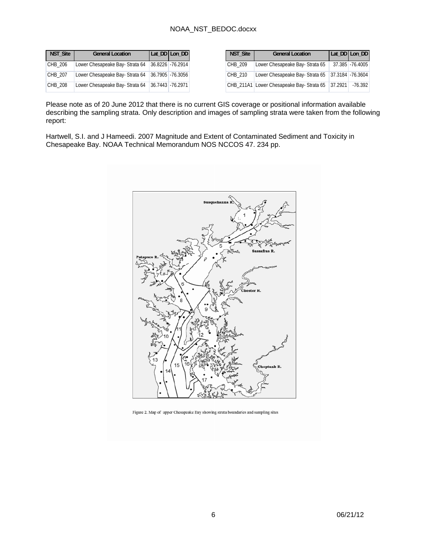| <b>NST Site</b> | <b>General Location</b>         | Lat_DD Lon_DD     |
|-----------------|---------------------------------|-------------------|
| CHB 206         | Lower Chesapeake Bay- Strata 64 | 36.8226 - 76.2914 |
| CHB 207         | Lower Chesapeake Bay- Strata 64 | 36.7905 -76.3056  |
| CHB 208         | Lower Chesapeake Bay- Strata 64 | 36.7443 - 76.2971 |

| NST_Site | <b>General Location</b>                  |         | Lat_DD Lon_DD     |
|----------|------------------------------------------|---------|-------------------|
| CHB 209  | Lower Chesapeake Bay- Strata 65          |         | 37.385 -76.4005   |
| CHB 210  | Lower Chesapeake Bay- Strata 65          |         | 37.3184 - 76.3604 |
|          | CHB 211A1 Lower Chesapeake Bay-Strata 65 | 37.2921 | -76.392           |

Please note as of 20 June 2012 that there is no current GIS coverage or positional information available describing the sampling strata. Only description and images of sampling strata were taken from the following report:

Hartwell, S.I. and J Hameedi. 2007 Magnitude and Extent of Contaminated Sediment and Toxicity in Chesapeake Bay. NOAA Technical Memorandum NOS NCCOS 47. 234 pp.



Figure 2. Map of upper Chesapeake Bay showing strata boundaries and sampling sites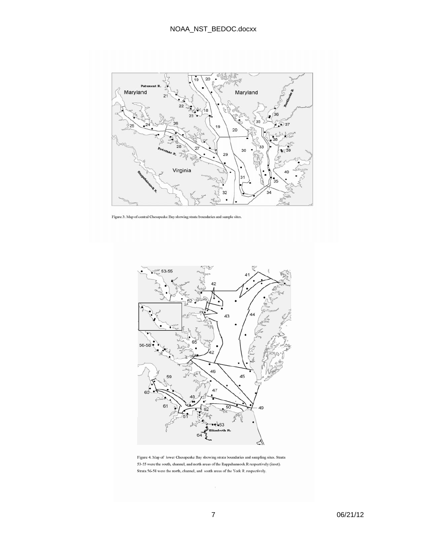

Figure 3. Map of central Chesapeake Bay showing strata boundaries and sample sites.



Figure 4. Map of lower Chesapeake Bay showing strata boundaries and sampling sites. Strata 53-55 were the south, channel, and north areas of the Rappahannock R respectively (inset). Strata 56-58 were the north, channel, and south areas of the York R. respectively.

 $\bar{t}$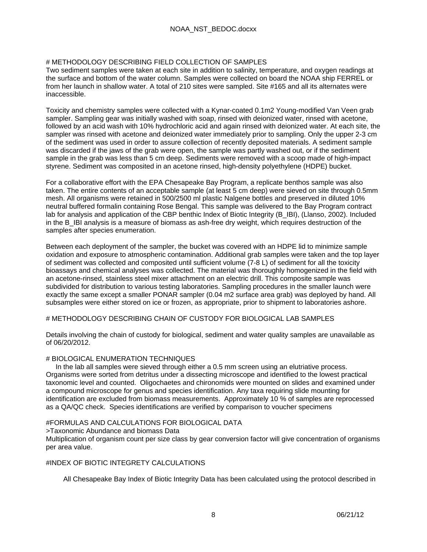#### # METHODOLOGY DESCRIBING FIELD COLLECTION OF SAMPLES

Two sediment samples were taken at each site in addition to salinity, temperature, and oxygen readings at the surface and bottom of the water column. Samples were collected on board the NOAA ship FERREL or from her launch in shallow water. A total of 210 sites were sampled. Site #165 and all its alternates were inaccessible.

Toxicity and chemistry samples were collected with a Kynar-coated 0.1m2 Young-modified Van Veen grab sampler. Sampling gear was initially washed with soap, rinsed with deionized water, rinsed with acetone, followed by an acid wash with 10% hydrochloric acid and again rinsed with deionized water. At each site, the sampler was rinsed with acetone and deionized water immediately prior to sampling. Only the upper 2-3 cm of the sediment was used in order to assure collection of recently deposited materials. A sediment sample was discarded if the jaws of the grab were open, the sample was partly washed out, or if the sediment sample in the grab was less than 5 cm deep. Sediments were removed with a scoop made of high-impact styrene. Sediment was composited in an acetone rinsed, high-density polyethylene (HDPE) bucket.

For a collaborative effort with the EPA Chesapeake Bay Program, a replicate benthos sample was also taken. The entire contents of an acceptable sample (at least 5 cm deep) were sieved on site through 0.5mm mesh. All organisms were retained in 500/2500 ml plastic Nalgene bottles and preserved in diluted 10% neutral buffered formalin containing Rose Bengal. This sample was delivered to the Bay Program contract lab for analysis and application of the CBP benthic Index of Biotic Integrity (B\_IBI), (Llanso, 2002). Included in the B IBI analysis is a measure of biomass as ash-free dry weight, which requires destruction of the samples after species enumeration.

Between each deployment of the sampler, the bucket was covered with an HDPE lid to minimize sample oxidation and exposure to atmospheric contamination. Additional grab samples were taken and the top layer of sediment was collected and composited until sufficient volume (7-8 L) of sediment for all the toxicity bioassays and chemical analyses was collected. The material was thoroughly homogenized in the field with an acetone-rinsed, stainless steel mixer attachment on an electric drill. This composite sample was subdivided for distribution to various testing laboratories. Sampling procedures in the smaller launch were exactly the same except a smaller PONAR sampler (0.04 m2 surface area grab) was deployed by hand. All subsamples were either stored on ice or frozen, as appropriate, prior to shipment to laboratories ashore.

### # METHODOLOGY DESCRIBING CHAIN OF CUSTODY FOR BIOLOGICAL LAB SAMPLES

Details involving the chain of custody for biological, sediment and water quality samples are unavailable as of 06/20/2012.

### # BIOLOGICAL ENUMERATION TECHNIQUES

 In the lab all samples were sieved through either a 0.5 mm screen using an elutriative process. Organisms were sorted from detritus under a dissecting microscope and identified to the lowest practical taxonomic level and counted. Oligochaetes and chironomids were mounted on slides and examined under a compound microscope for genus and species identification. Any taxa requiring slide mounting for identification are excluded from biomass measurements. Approximately 10 % of samples are reprocessed as a QA/QC check. Species identifications are verified by comparison to voucher specimens

### #FORMULAS AND CALCULATIONS FOR BIOLOGICAL DATA

>Taxonomic Abundance and biomass Data

Multiplication of organism count per size class by gear conversion factor will give concentration of organisms per area value.

### #INDEX OF BIOTIC INTEGRETY CALCULATIONS

All Chesapeake Bay Index of Biotic Integrity Data has been calculated using the protocol described in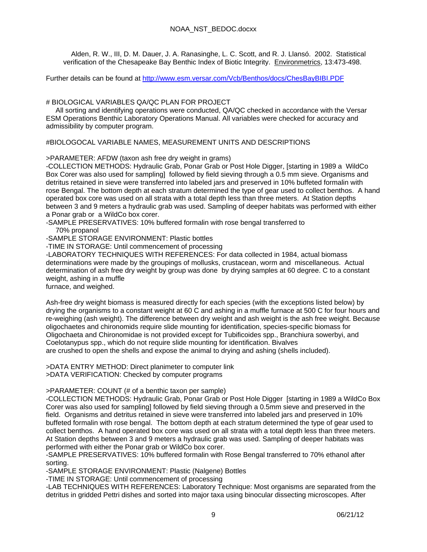Alden, R. W., III, D. M. Dauer, J. A. Ranasinghe, L. C. Scott, and R. J. Llansó. 2002. Statistical verification of the Chesapeake Bay Benthic Index of Biotic Integrity. Environmetrics, 13:473-498.

Further details can be found at http://www.esm.versar.com/Vcb/Benthos/docs/ChesBayBIBI.PDF

### # BIOLOGICAL VARIABLES QA/QC PLAN FOR PROJECT

 All sorting and identifying operations were conducted, QA/QC checked in accordance with the Versar ESM Operations Benthic Laboratory Operations Manual. All variables were checked for accuracy and admissibility by computer program.

#BIOLOGOCAL VARIABLE NAMES, MEASUREMENT UNITS AND DESCRIPTIONS

>PARAMETER: AFDW (taxon ash free dry weight in grams)

-COLLECTION METHODS: Hydraulic Grab, Ponar Grab or Post Hole Digger, [starting in 1989 a WildCo Box Corer was also used for sampling] followed by field sieving through a 0.5 mm sieve. Organisms and detritus retained in sieve were transferred into labeled jars and preserved in 10% buffeted formalin with rose Bengal. The bottom depth at each stratum determined the type of gear used to collect benthos. A hand operated box core was used on all strata with a total depth less than three meters. At Station depths between 3 and 9 meters a hydraulic grab was used. Sampling of deeper habitats was performed with either a Ponar grab or a WildCo box corer.

-SAMPLE PRESERVATIVES: 10% buffered formalin with rose bengal transferred to 70% propanol

-SAMPLE STORAGE ENVIRONMENT: Plastic bottles

-TIME IN STORAGE: Until commencement of processing

-LABORATORY TECHNIQUES WITH REFERENCES: For data collected in 1984, actual biomass determinations were made by the groupings of mollusks, crustacean, worm and miscellaneous. Actual determination of ash free dry weight by group was done by drying samples at 60 degree. C to a constant weight, ashing in a muffle

furnace, and weighed.

Ash-free dry weight biomass is measured directly for each species (with the exceptions listed below) by drying the organisms to a constant weight at 60 C and ashing in a muffle furnace at 500 C for four hours and re-weighing (ash weight). The difference between dry weight and ash weight is the ash free weight. Because oligochaetes and chironomids require slide mounting for identification, species-specific biomass for Oligochaeta and Chironomidae is not provided except for Tubificoides spp., Branchiura sowerbyi, and Coelotanypus spp., which do not require slide mounting for identification. Bivalves are crushed to open the shells and expose the animal to drying and ashing (shells included).

>DATA ENTRY METHOD: Direct planimeter to computer link >DATA VERIFICATION: Checked by computer programs

>PARAMETER: COUNT (# of a benthic taxon per sample)

-COLLECTION METHODS: Hydraulic Grab, Ponar Grab or Post Hole Digger [starting in 1989 a WildCo Box Corer was also used for sampling] followed by field sieving through a 0.5mm sieve and preserved in the field. Organisms and detritus retained in sieve were transferred into labeled jars and preserved in 10% buffeted formalin with rose bengal. The bottom depth at each stratum determined the type of gear used to collect benthos. A hand operated box core was used on all strata with a total depth less than three meters. At Station depths between 3 and 9 meters a hydraulic grab was used. Sampling of deeper habitats was performed with either the Ponar grab or WildCo box corer.

-SAMPLE PRESERVATIVES: 10% buffered formalin with Rose Bengal transferred to 70% ethanol after sorting.

-SAMPLE STORAGE ENVIRONMENT: Plastic (Nalgene) Bottles

-TIME IN STORAGE: Until commencement of processing

-LAB TECHNIQUES WITH REFERENCES: Laboratory Technique: Most organisms are separated from the detritus in gridded Pettri dishes and sorted into major taxa using binocular dissecting microscopes. After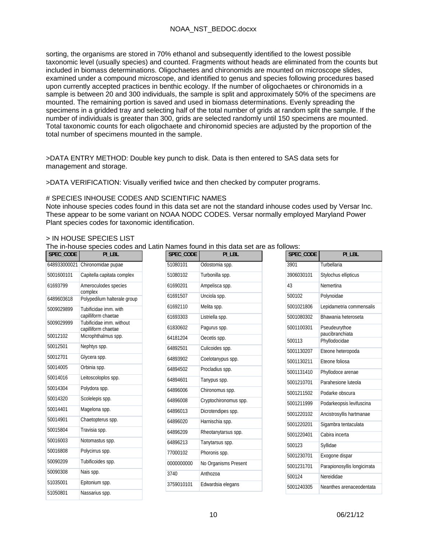sorting, the organisms are stored in 70% ethanol and subsequently identified to the lowest possible taxonomic level (usually species) and counted. Fragments without heads are eliminated from the counts but included in biomass determinations. Oligochaetes and chironomids are mounted on microscope slides, examined under a compound microscope, and identified to genus and species following procedures based upon currently accepted practices in benthic ecology. If the number of oligochaetes or chironomids in a sample is between 20 and 300 individuals, the sample is split and approximately 50% of the specimens are mounted. The remaining portion is saved and used in biomass determinations. Evenly spreading the specimens in a gridded tray and selecting half of the total number of grids at random split the sample. If the number of individuals is greater than 300, grids are selected randomly until 150 specimens are mounted. Total taxonomic counts for each oligochaete and chironomid species are adjusted by the proportion of the total number of specimens mounted in the sample.

>DATA ENTRY METHOD: Double key punch to disk. Data is then entered to SAS data sets for management and storage.

>DATA VERIFICATION: Visually verified twice and then checked by computer programs.

#### # SPECIES INHOUSE CODES AND SCIENTIFIC NAMES

Note inhouse species codes found in this data set are not the standard inhouse codes used by Versar Inc. These appear to be some variant on NOAA NODC CODES. Versar normally employed Maryland Power Plant species codes for taxonomic identification.

#### > IN HOUSE SPECIES LIST

The in-house species codes and Latin Names found in this data set are as follows:

| SPEC_CODE    | PI_LBL                                          | SPEC_CODE  | PI_LBL                |            | SPEC_CODE | PI_LBL                           |
|--------------|-------------------------------------------------|------------|-----------------------|------------|-----------|----------------------------------|
| 648933000021 | Chironomidae pupae                              | 51080101   | Odostomia spp.        | 3901       |           | Turbellaria                      |
| 5001600101   | Capitella capitata complex                      | 51080102   | Turbonilla spp.       | 3906030101 |           | Stylochus ellipticus             |
| 61693799     | Ameroculodes species                            | 61690201   | Ampelisca spp.        | 43         |           | Nemertina                        |
| 6489603618   | complex<br>Polypedilum halterale group          | 61691507   | Unciola spp.          | 500102     |           | Polynoidae                       |
| 5009029899   | Tubificidae imm. with                           | 61692110   | Melita spp.           | 5001021806 |           | Lepidametria commensalis         |
|              | capilliform chaetae                             | 61693303   | Listriella spp.       | 5001080302 |           | Bhawania heteroseta              |
| 5009029999   | Tubificidae imm. without<br>capilliform chaetae | 61830602   | Pagurus spp.          | 5001100301 |           | Pseudeurythoe                    |
| 50012102     | Microphthalmus spp.                             | 64181204   | Oecetis spp.          | 500113     |           | paucibranchiata<br>Phyllodocidae |
| 50012501     | Nephtys spp.                                    | 64892501   | Culicoides spp.       | 5001130207 |           | Eteone heteropoda                |
| 50012701     | Glycera spp.                                    | 64893902   | Coelotanypus spp.     | 5001130211 |           | Eteone foliosa                   |
| 50014005     | Orbinia spp.                                    | 64894502   | Procladius spp.       | 5001131410 |           | Phyllodoce arenae                |
| 50014016     | Leitoscoloplos spp.                             | 64894601   | Tanypus spp.          | 5001210701 |           | Parahesione luteola              |
| 50014304     | Polydora spp.                                   | 64896006   | Chironomus spp.       | 5001211502 |           | Podarke obscura                  |
| 50014320     | Scolelepis spp.                                 | 64896008   | Cryptochironomus spp. | 5001211999 |           | Podarkeopsis levifuscina         |
| 50014401     | Magelona spp.                                   | 64896013   | Dicrotendipes spp.    | 5001220102 |           | Ancistrosyllis hartmanae         |
| 50014901     | Chaetopterus spp.                               | 64896020   | Harnischia spp.       | 5001220201 |           | Sigambra tentaculata             |
| 50015804     | Travisia spp.                                   | 64896209   | Rheotanytarsus spp.   | 5001220401 |           | Cabira incerta                   |
| 50016003     | Notomastus spp.                                 | 64896213   | Tanytarsus spp.       | 500123     |           | Syllidae                         |
| 50016808     | Polycirrus spp.                                 | 77000102   | Phoronis spp.         | 5001230701 |           | Exogone dispar                   |
| 50090209     | Tubificoides spp.                               | 0000000000 | No Organisms Present  | 5001231701 |           | Parapionosyllis longicirrata     |
| 50090308     | Nais spp.                                       | 3740       | Anthozoa              | 500124     |           | Nereididae                       |
| 51035001     | Epitonium spp.                                  | 3759010101 | Edwardsia elegans     | 5001240305 |           | Neanthes arenaceodentata         |
| 51050801     | Nassarius spp.                                  |            |                       |            |           |                                  |
|              |                                                 |            |                       |            |           |                                  |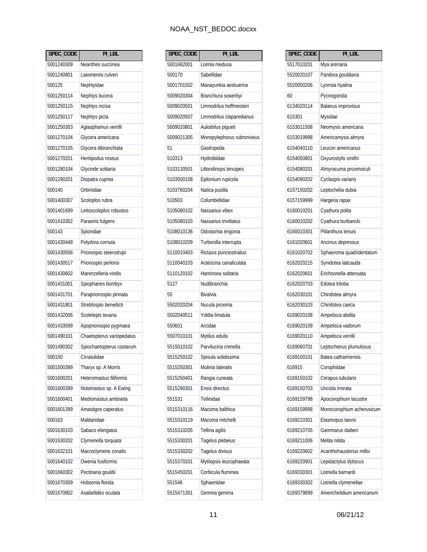| SPEC_CODE  | PI LBL                    |
|------------|---------------------------|
| 5001240309 | Neanthes succinea         |
| 5001240801 | Laeonereis culveri        |
| 500125     | Nephtyidae                |
| 5001250114 | Nephtys bucera            |
| 5001250115 | Nephtys incisa            |
| 5001250117 | Nephtys picta             |
| 5001250303 | Aglaophamus verrilli      |
| 5001270104 | Glycera americana         |
| 5001270105 | Glycera dibranchiata      |
| 5001270201 | Hemipodus roseus          |
| 5001280104 | Glycinde solitaria        |
| 5001290201 | Diopatra cuprea           |
| 500140     | Orbiniidae                |
| 5001400307 | Scoloplos rubra           |
| 5001401699 | Leitoscoloplos robustus   |
| 5001410302 | Paraonis fulgens          |
| 500143     | Spionidae                 |
| 5001430448 | Polydora cornuta          |
| 5001430506 | Prionospio steenstrupi    |
| 5001430517 | Prionospio perkinsi       |
| 5001430602 | Marenzelleria viridis     |
| 5001431001 | Spiophanes bombyx         |
| 5001431701 | Paraprionospio pinnata    |
| 5001431801 | Streblospio benedicti     |
| 5001432006 | Scolelepis texana         |
| 5001433599 | Apoprionospio pygmaea     |
| 5001490101 | Chaetopterus variopedatus |
| 5001490302 | Spiochaetopterus costarum |
| 500150     | Cirratulidae              |
| 5001500399 | Tharyx sp. A Morris       |
| 5001600201 | Heteromastus filiformis   |
| 5001600399 | Notomastus sp. A Ewing    |
| 5001600401 | Mediomastus ambiseta      |
| 5001601399 | Amastigos caperatus       |
| 500163     | Maldanidae                |
| 5001630103 | Sabaco elongatus          |
| 5001630202 | Clymenella torquata       |
| 5001632101 | Macroclymene zonalis      |
| 5001640102 | Owenia fusiformis         |
| 5001660302 | Pectinaria gouldii        |
| 5001670309 | Hobsonia florida          |
| 5001670802 | Asabellides oculata       |

| SPEC_CODE  | PI_LBL                     |
|------------|----------------------------|
| 5001682001 | Loimia medusa              |
| 500170     | Sabellidae                 |
| 5001701502 | Manayunkia aestuarina      |
| 5009020304 | Branchiura sowerbyi        |
| 5009020501 | Limnodrilus hoffmeisteri   |
| 5009020507 | Limnodrilus claparedianus  |
| 5009020801 | Aulodrilus pigueti         |
| 5009021305 | Monopylephorus rubroniveus |
| 51         | Gastropoda                 |
| 510313     | Hydrobiidae                |
| 5103130501 | Littoridinops tenuipes     |
| 5103500108 | Epitonium rupicola         |
| 5103760204 | Natica pusilla             |
| 510503     | Columbellidae              |
| 5105080102 | Nassarius vibex            |
| 5105080103 | Nassarius trivittatus      |
| 5108010136 | Odostomia engonia          |
| 5108010209 | Turbonilla interrupta      |
| 5110010403 | Rictaxis punctostriatus    |
| 5110040103 | Acteocina canaliculata     |
| 5110120102 | Haminoea solitaria         |
| 5127       | Nudibranchia               |
| 55         | Bivalvia                   |
| 5502020204 | Nucula proxima             |
| 5502040511 | Yoldia limatula            |
| 550601     | Arcidae                    |
| 5507010101 | Mytilus edulis             |
| 5515010102 | Parvilucina crenella       |
| 5515250102 | Spisula solidissima        |
| 5515250301 | Mulinia lateralis          |
| 5515250401 | Rangia cuneata             |
| 5515290301 | Ensis directus             |
| 551531     | Tellinidae                 |
| 5515310116 | Macoma balthica            |
| 5515310119 | Macoma mitchelli           |
| 5515310205 | Tellina agilis             |
| 5515330201 | Tagelus plebeius           |
| 5515330202 | Tagelus divisus            |
| 5515370201 | Mytilopsis leucophaeata    |
| 5515450201 | Corbicula fluminea         |
| 551546     | Sphaeriidae                |
| 5515471301 | Gemma gemma                |

| SPEC_CODE  | $PI$ _LBL                 |
|------------|---------------------------|
| 5517010201 | Mya arenaria              |
| 5520020107 | Pandora gouldiana         |
| 5520050206 | Lyonsia hyalina           |
| 60         | Pycnogonida               |
| 6134020114 | Balanus improvisus        |
| 615301     | Mysidae                   |
| 6153011508 | Neomysis americana        |
| 6153019998 | Americamysis almyra       |
| 6154040110 | Leucon americanus         |
| 6154050801 | Oxyurostylis smithi       |
| 6154080201 | Almyracuma proximoculi    |
| 6154090202 | Cyclaspis varians         |
| 6157150202 | Leptochelia dubia         |
| 6157159999 | Hargeria rapax            |
| 6160010201 | Cyathura polita           |
| 6160010202 | Cyathura burbancki        |
| 6160010301 | Ptilanthura tenuis        |
| 6161020601 | Ancinus depressus         |
| 6161020702 | Sphaeroma quadridentatum  |
| 6162020215 | Synidotea laticauda       |
| 6162020601 | Erichsonella attenuata    |
| 6162020703 | Edotea triloba            |
| 6162030101 | Chiridotea almyra         |
| 6162030103 | Chiridotea caeca          |
| 6169020108 | Ampelisca abdita          |
| 6169020109 | Ampelisca vadorum         |
| 6169020110 | Ampelisca verrilli        |
| 6169060701 | Leptocheirus plumulosus   |
| 6169100101 | Batea catharinensis       |
| 616915     | Corophiidae               |
| 6169150102 | Cerapus tubularis         |
| 6169150703 | Unciola irrorata          |
| 6169159798 | Apocorophium lacustre     |
| 6169159998 | Monocorophium acherusicum |
| 6169210301 | Elasmopus laevis          |
| 6169210705 | Gammarus daiberi          |
| 6169211006 | Melita nitida             |
| 6169220602 | Acanthohaustorius millsi  |
| 6169220901 | Lepidactylus dytiscus     |
| 6169330301 | Listriella barnardi       |
| 6169330302 | Listriella clymenellae    |
| 6169379899 | Americhelidium americanum |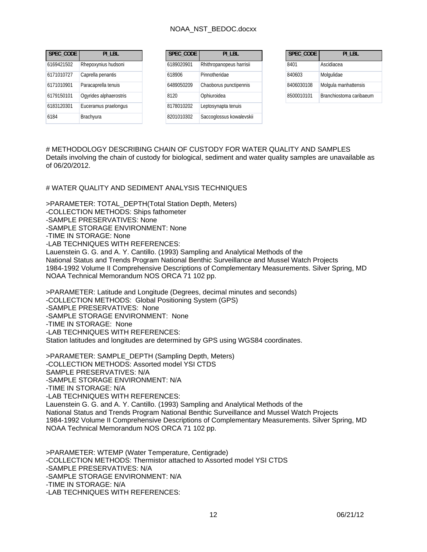| SPEC CODE  | PI LBL                 | SPEC CODE  | PI LBL                   | SPEC CODE  |
|------------|------------------------|------------|--------------------------|------------|
| 6169421502 | Rhepoxynius hudsoni    | 6189020901 | Rhithropanopeus harrisii | 8401       |
| 6171010727 | Caprella penantis      | 618906     | Pinnotheridae            | 840603     |
| 6171010901 | Paracaprella tenuis    | 6489050209 | Chaoborus punctipennis   | 8406030108 |
| 6179150101 | Ogyrides alphaerostris | 8120       | Ophiuroidea              | 8500010101 |
| 6183120301 | Euceramus praelongus   | 8178010202 | Leptosynapta tenuis      |            |
| 6184       | Brachyura              | 8201010302 | Saccoglossus kowalevskii |            |

# METHODOLOGY DESCRIBING CHAIN OF CUSTODY FOR WATER QUALITY AND SAMPLES Details involving the chain of custody for biological, sediment and water quality samples are unavailable as of 06/20/2012.

# WATER QUALITY AND SEDIMENT ANALYSIS TECHNIQUES

>PARAMETER: TOTAL\_DEPTH(Total Station Depth, Meters) -COLLECTION METHODS: Ships fathometer -SAMPLE PRESERVATIVES: None -SAMPLE STORAGE ENVIRONMENT: None -TIME IN STORAGE: None -LAB TECHNIQUES WITH REFERENCES: Lauenstein G. G. and A. Y. Cantillo. (1993) Sampling and Analytical Methods of the National Status and Trends Program National Benthic Surveillance and Mussel Watch Projects 1984-1992 Volume II Comprehensive Descriptions of Complementary Measurements. Silver Spring, MD NOAA Technical Memorandum NOS ORCA 71 102 pp. >PARAMETER: Latitude and Longitude (Degrees, decimal minutes and seconds) -COLLECTION METHODS: Global Positioning System (GPS) -SAMPLE PRESERVATIVES: None -SAMPLE STORAGE ENVIRONMENT: None -TIME IN STORAGE: None -LAB TECHNIQUES WITH REFERENCES: Station latitudes and longitudes are determined by GPS using WGS84 coordinates. >PARAMETER: SAMPLE\_DEPTH (Sampling Depth, Meters) -COLLECTION METHODS: Assorted model YSI CTDS SAMPLE PRESERVATIVES: N/A -SAMPLE STORAGE ENVIRONMENT: N/A

-TIME IN STORAGE: N/A -LAB TECHNIQUES WITH REFERENCES: Lauenstein G. G. and A. Y. Cantillo. (1993) Sampling and Analytical Methods of the National Status and Trends Program National Benthic Surveillance and Mussel Watch Projects 1984-1992 Volume II Comprehensive Descriptions of Complementary Measurements. Silver Spring, MD NOAA Technical Memorandum NOS ORCA 71 102 pp.

>PARAMETER: WTEMP (Water Temperature, Centigrade) -COLLECTION METHODS: Thermistor attached to Assorted model YSI CTDS -SAMPLE PRESERVATIVES: N/A -SAMPLE STORAGE ENVIRONMENT: N/A -TIME IN STORAGE: N/A -LAB TECHNIQUES WITH REFERENCES: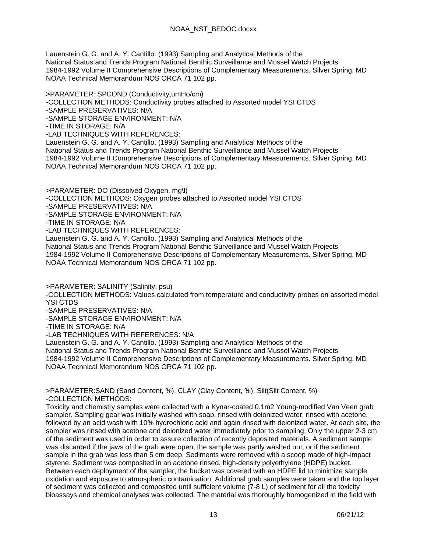Lauenstein G. G. and A. Y. Cantillo. (1993) Sampling and Analytical Methods of the National Status and Trends Program National Benthic Surveillance and Mussel Watch Projects 1984-1992 Volume II Comprehensive Descriptions of Complementary Measurements. Silver Spring, MD NOAA Technical Memorandum NOS ORCA 71 102 pp.

>PARAMETER: SPCOND (Conductivity,umHo/cm) -COLLECTION METHODS: Conductivity probes attached to Assorted model YSI CTDS -SAMPLE PRESERVATIVES: N/A -SAMPLE STORAGE ENVIRONMENT: N/A -TIME IN STORAGE: N/A -LAB TECHNIQUES WITH REFERENCES: Lauenstein G. G. and A. Y. Cantillo. (1993) Sampling and Analytical Methods of the National Status and Trends Program National Benthic Surveillance and Mussel Watch Projects 1984-1992 Volume II Comprehensive Descriptions of Complementary Measurements. Silver Spring, MD NOAA Technical Memorandum NOS ORCA 71 102 pp.

>PARAMETER: DO (Dissolved Oxygen, mg\l) -COLLECTION METHODS: Oxygen probes attached to Assorted model YSI CTDS -SAMPLE PRESERVATIVES: N/A -SAMPLE STORAGE ENVIRONMENT: N/A -TIME IN STORAGE: N/A -LAB TECHNIQUES WITH REFERENCES: Lauenstein G. G. and A. Y. Cantillo. (1993) Sampling and Analytical Methods of the National Status and Trends Program National Benthic Surveillance and Mussel Watch Projects 1984-1992 Volume II Comprehensive Descriptions of Complementary Measurements. Silver Spring, MD

NOAA Technical Memorandum NOS ORCA 71 102 pp.

>PARAMETER: SALINITY (Salinity, psu) -COLLECTION METHODS: Values calculated from temperature and conductivity probes on assorted model YSI CTDS

-SAMPLE PRESERVATIVES: N/A

-SAMPLE STORAGE ENVIRONMENT: N/A

-TIME IN STORAGE: N/A

-LAB TECHNIQUES WITH REFERENCES: N/A

Lauenstein G. G. and A. Y. Cantillo. (1993) Sampling and Analytical Methods of the National Status and Trends Program National Benthic Surveillance and Mussel Watch Projects 1984-1992 Volume II Comprehensive Descriptions of Complementary Measurements. Silver Spring, MD NOAA Technical Memorandum NOS ORCA 71 102 pp.

>PARAMETER:SAND (Sand Content, %), CLAY (Clay Content, %), Silt(Silt Content, %) -COLLECTION METHODS:

Toxicity and chemistry samples were collected with a Kynar-coated 0.1m2 Young-modified Van Veen grab sampler. Sampling gear was initially washed with soap, rinsed with deionized water, rinsed with acetone, followed by an acid wash with 10% hydrochloric acid and again rinsed with deionized water. At each site, the sampler was rinsed with acetone and deionized water immediately prior to sampling. Only the upper 2-3 cm of the sediment was used in order to assure collection of recently deposited materials. A sediment sample was discarded if the jaws of the grab were open, the sample was partly washed out, or if the sediment sample in the grab was less than 5 cm deep. Sediments were removed with a scoop made of high-impact styrene. Sediment was composited in an acetone rinsed, high-density polyethylene (HDPE) bucket. Between each deployment of the sampler, the bucket was covered with an HDPE lid to minimize sample oxidation and exposure to atmospheric contamination. Additional grab samples were taken and the top layer of sediment was collected and composited until sufficient volume (7-8 L) of sediment for all the toxicity bioassays and chemical analyses was collected. The material was thoroughly homogenized in the field with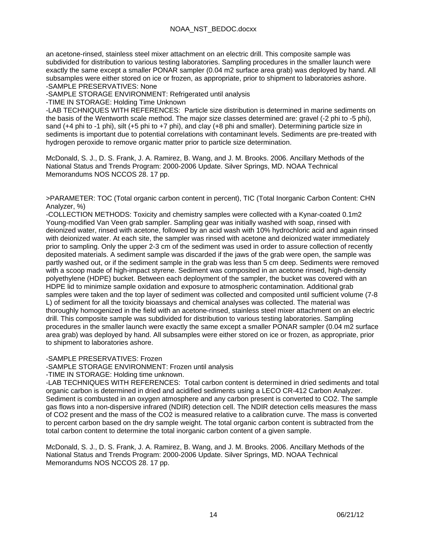an acetone-rinsed, stainless steel mixer attachment on an electric drill. This composite sample was subdivided for distribution to various testing laboratories. Sampling procedures in the smaller launch were exactly the same except a smaller PONAR sampler (0.04 m2 surface area grab) was deployed by hand. All subsamples were either stored on ice or frozen, as appropriate, prior to shipment to laboratories ashore. -SAMPLE PRESERVATIVES: None

-SAMPLE STORAGE ENVIRONMENT: Refrigerated until analysis

-TIME IN STORAGE: Holding Time Unknown

-LAB TECHNIQUES WITH REFERENCES: Particle size distribution is determined in marine sediments on the basis of the Wentworth scale method. The major size classes determined are: gravel (-2 phi to -5 phi), sand (+4 phi to -1 phi), silt (+5 phi to +7 phi), and clay (+8 phi and smaller). Determining particle size in sediments is important due to potential correlations with contaminant levels. Sediments are pre-treated with hydrogen peroxide to remove organic matter prior to particle size determination.

McDonald, S. J., D. S. Frank, J. A. Ramirez, B. Wang, and J. M. Brooks. 2006. Ancillary Methods of the National Status and Trends Program: 2000-2006 Update. Silver Springs, MD. NOAA Technical Memorandums NOS NCCOS 28. 17 pp.

>PARAMETER: TOC (Total organic carbon content in percent), TIC (Total Inorganic Carbon Content: CHN Analyzer, %)

-COLLECTION METHODS: Toxicity and chemistry samples were collected with a Kynar-coated 0.1m2 Young-modified Van Veen grab sampler. Sampling gear was initially washed with soap, rinsed with deionized water, rinsed with acetone, followed by an acid wash with 10% hydrochloric acid and again rinsed with deionized water. At each site, the sampler was rinsed with acetone and deionized water immediately prior to sampling. Only the upper 2-3 cm of the sediment was used in order to assure collection of recently deposited materials. A sediment sample was discarded if the jaws of the grab were open, the sample was partly washed out, or if the sediment sample in the grab was less than 5 cm deep. Sediments were removed with a scoop made of high-impact styrene. Sediment was composited in an acetone rinsed, high-density polyethylene (HDPE) bucket. Between each deployment of the sampler, the bucket was covered with an HDPE lid to minimize sample oxidation and exposure to atmospheric contamination. Additional grab samples were taken and the top layer of sediment was collected and composited until sufficient volume (7-8 L) of sediment for all the toxicity bioassays and chemical analyses was collected. The material was thoroughly homogenized in the field with an acetone-rinsed, stainless steel mixer attachment on an electric drill. This composite sample was subdivided for distribution to various testing laboratories. Sampling procedures in the smaller launch were exactly the same except a smaller PONAR sampler (0.04 m2 surface area grab) was deployed by hand. All subsamples were either stored on ice or frozen, as appropriate, prior to shipment to laboratories ashore.

-SAMPLE PRESERVATIVES: Frozen

-SAMPLE STORAGE ENVIRONMENT: Frozen until analysis

-TIME IN STORAGE: Holding time unknown.

-LAB TECHNIQUES WITH REFERENCES: Total carbon content is determined in dried sediments and total organic carbon is determined in dried and acidified sediments using a LECO CR-412 Carbon Analyzer. Sediment is combusted in an oxygen atmosphere and any carbon present is converted to CO2. The sample gas flows into a non-dispersive infrared (NDIR) detection cell. The NDIR detection cells measures the mass of CO2 present and the mass of the CO2 is measured relative to a calibration curve. The mass is converted to percent carbon based on the dry sample weight. The total organic carbon content is subtracted from the total carbon content to determine the total inorganic carbon content of a given sample.

McDonald, S. J., D. S. Frank, J. A. Ramirez, B. Wang, and J. M. Brooks. 2006. Ancillary Methods of the National Status and Trends Program: 2000-2006 Update. Silver Springs, MD. NOAA Technical Memorandums NOS NCCOS 28. 17 pp.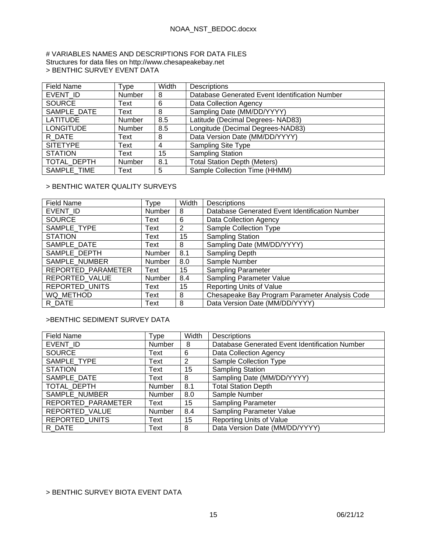#### # VARIABLES NAMES AND DESCRIPTIONS FOR DATA FILES Structures for data files on http://www.chesapeakebay.net > BENTHIC SURVEY EVENT DATA

| <b>Field Name</b> | Type          | Width | Descriptions                                   |
|-------------------|---------------|-------|------------------------------------------------|
| EVENT ID          | Number        | 8     | Database Generated Event Identification Number |
| <b>SOURCE</b>     | Text          | 6     | Data Collection Agency                         |
| SAMPLE DATE       | Text          | 8     | Sampling Date (MM/DD/YYYY)                     |
| <b>LATITUDE</b>   | <b>Number</b> | 8.5   | Latitude (Decimal Degrees- NAD83)              |
| <b>LONGITUDE</b>  | Number        | 8.5   | Longitude (Decimal Degrees-NAD83)              |
| R DATE            | Text          | 8     | Data Version Date (MM/DD/YYYY)                 |
| <b>SITETYPE</b>   | Text          | 4     | <b>Sampling Site Type</b>                      |
| <b>STATION</b>    | Text          | 15    | <b>Sampling Station</b>                        |
| TOTAL_DEPTH       | Number        | 8.1   | <b>Total Station Depth (Meters)</b>            |
| SAMPLE TIME       | Text          | 5     | Sample Collection Time (HHMM)                  |

### > BENTHIC WATER QUALITY SURVEYS

| <b>Field Name</b>     | Type   | Width | <b>Descriptions</b>                            |
|-----------------------|--------|-------|------------------------------------------------|
| EVENT ID              | Number | 8     | Database Generated Event Identification Number |
| <b>SOURCE</b>         | Text   | 6     | Data Collection Agency                         |
| SAMPLE TYPE           | Text   | 2     | <b>Sample Collection Type</b>                  |
| <b>STATION</b>        | Text   | 15    | <b>Sampling Station</b>                        |
| SAMPLE_DATE           | Text   | 8     | Sampling Date (MM/DD/YYYY)                     |
| SAMPLE DEPTH          | Number | 8.1   | Sampling Depth                                 |
| SAMPLE NUMBER         | Number | 8.0   | Sample Number                                  |
| REPORTED PARAMETER    | Text   | 15    | <b>Sampling Parameter</b>                      |
| REPORTED VALUE        | Number | 8.4   | Sampling Parameter Value                       |
| <b>REPORTED UNITS</b> | Text   | 15    | Reporting Units of Value                       |
| WQ METHOD             | Text   | 8     | Chesapeake Bay Program Parameter Analysis Code |
| R DATE                | Text   | 8     | Data Version Date (MM/DD/YYYY)                 |

## >BENTHIC SEDIMENT SURVEY DATA

| <b>Field Name</b>  | Type   | Width | <b>Descriptions</b>                            |
|--------------------|--------|-------|------------------------------------------------|
| EVENT ID           | Number | 8     | Database Generated Event Identification Number |
| <b>SOURCE</b>      | Text   | 6     | Data Collection Agency                         |
| SAMPLE TYPE        | Text   | 2     | Sample Collection Type                         |
| <b>STATION</b>     | Text   | 15    | <b>Sampling Station</b>                        |
| SAMPLE DATE        | Text   | 8     | Sampling Date (MM/DD/YYYY)                     |
| TOTAL_DEPTH        | Number | 8.1   | <b>Total Station Depth</b>                     |
| SAMPLE NUMBER      | Number | 8.0   | Sample Number                                  |
| REPORTED_PARAMETER | Text   | 15    | <b>Sampling Parameter</b>                      |
| REPORTED VALUE     | Number | 8.4   | <b>Sampling Parameter Value</b>                |
| REPORTED_UNITS     | Text   | 15    | <b>Reporting Units of Value</b>                |
| R DATE             | Text   | 8     | Data Version Date (MM/DD/YYYY)                 |

### > BENTHIC SURVEY BIOTA EVENT DATA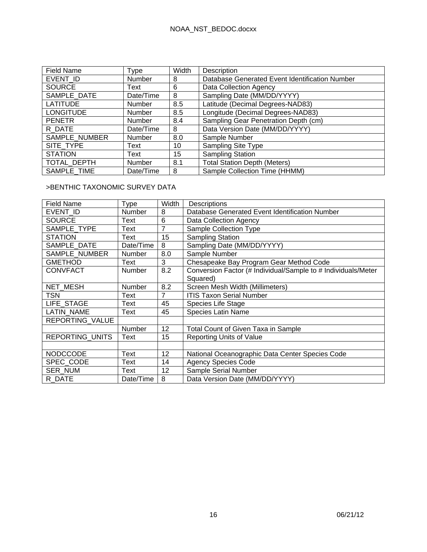| <b>Field Name</b> | Type          | Width | Description                                    |
|-------------------|---------------|-------|------------------------------------------------|
| EVENT ID          | Number        | 8     | Database Generated Event Identification Number |
| <b>SOURCE</b>     | Text          | 6     | Data Collection Agency                         |
| SAMPLE DATE       | Date/Time     | 8     | Sampling Date (MM/DD/YYYY)                     |
| <b>LATITUDE</b>   | Number        | 8.5   | Latitude (Decimal Degrees-NAD83)               |
| <b>LONGITUDE</b>  | Number        | 8.5   | Longitude (Decimal Degrees-NAD83)              |
| <b>PENETR</b>     | <b>Number</b> | 8.4   | Sampling Gear Penetration Depth (cm)           |
| R DATE            | Date/Time     | 8     | Data Version Date (MM/DD/YYYY)                 |
| SAMPLE_NUMBER     | Number        | 8.0   | Sample Number                                  |
| SITE TYPE         | Text          | 10    | <b>Sampling Site Type</b>                      |
| <b>STATION</b>    | Text          | 15    | <b>Sampling Station</b>                        |
| TOTAL DEPTH       | Number        | 8.1   | <b>Total Station Depth (Meters)</b>            |
| SAMPLE TIME       | Date/Time     | 8     | Sample Collection Time (HHMM)                  |

### >BENTHIC TAXONOMIC SURVEY DATA

| <b>Field Name</b> | Type      | Width          | Descriptions                                                  |
|-------------------|-----------|----------------|---------------------------------------------------------------|
| EVENT ID          | Number    | 8              | Database Generated Event Identification Number                |
| <b>SOURCE</b>     | Text      | 6              | Data Collection Agency                                        |
| SAMPLE TYPE       | Text      | 7              | Sample Collection Type                                        |
| <b>STATION</b>    | Text      | 15             | <b>Sampling Station</b>                                       |
| SAMPLE DATE       | Date/Time | 8              | Sampling Date (MM/DD/YYYY)                                    |
| SAMPLE NUMBER     | Number    | 8.0            | Sample Number                                                 |
| <b>GMETHOD</b>    | Text      | 3              | Chesapeake Bay Program Gear Method Code                       |
| <b>CONVFACT</b>   | Number    | 8.2            | Conversion Factor (# Individual/Sample to # Individuals/Meter |
|                   |           |                | Squared)                                                      |
| NET MESH          | Number    | 8.2            | Screen Mesh Width (Millimeters)                               |
| <b>TSN</b>        | Text      | $\overline{7}$ | <b>ITIS Taxon Serial Number</b>                               |
| LIFE STAGE        | Text      | 45             | Species Life Stage                                            |
| <b>LATIN NAME</b> | Text      | 45             | <b>Species Latin Name</b>                                     |
| REPORTING VALUE   |           |                |                                                               |
|                   | Number    | 12             | Total Count of Given Taxa in Sample                           |
| REPORTING UNITS   | Text      | 15             | <b>Reporting Units of Value</b>                               |
|                   |           |                |                                                               |
| <b>NODCCODE</b>   | Text      | 12             | National Oceanographic Data Center Species Code               |
| SPEC CODE         | Text      | 14             | <b>Agency Species Code</b>                                    |
| <b>SER NUM</b>    | Text      | 12             | Sample Serial Number                                          |
| R DATE            | Date/Time | 8              | Data Version Date (MM/DD/YYYY)                                |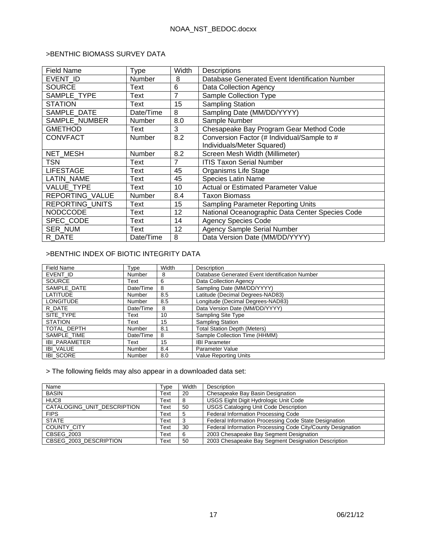### >BENTHIC BIOMASS SURVEY DATA

| Field Name        | Type          | Width | Descriptions                                    |
|-------------------|---------------|-------|-------------------------------------------------|
| EVENT ID          | Number        | 8     | Database Generated Event Identification Number  |
| <b>SOURCE</b>     | Text          | 6     | Data Collection Agency                          |
| SAMPLE TYPE       | Text          | 7     | Sample Collection Type                          |
| <b>STATION</b>    | Text          | 15    | <b>Sampling Station</b>                         |
| SAMPLE DATE       | Date/Time     | 8     | Sampling Date (MM/DD/YYYY)                      |
| SAMPLE NUMBER     | <b>Number</b> | 8.0   | Sample Number                                   |
| <b>GMETHOD</b>    | Text          | 3     | Chesapeake Bay Program Gear Method Code         |
| <b>CONVFACT</b>   | <b>Number</b> | 8.2   | Conversion Factor (# Individual/Sample to #     |
|                   |               |       | Individuals/Meter Squared)                      |
| <b>NET MESH</b>   | <b>Number</b> | 8.2   | Screen Mesh Width (Millimeter)                  |
| TSN               | Text          | 7     | <b>ITIS Taxon Serial Number</b>                 |
| <b>LIFESTAGE</b>  | Text          | 45    | Organisms Life Stage                            |
| LATIN NAME        | Text          | 45    | <b>Species Latin Name</b>                       |
| <b>VALUE TYPE</b> | Text          | 10    | <b>Actual or Estimated Parameter Value</b>      |
| REPORTING_VALUE   | <b>Number</b> | 8.4   | Taxon Biomass                                   |
| REPORTING_UNITS   | Text          | 15    | Sampling Parameter Reporting Units              |
| <b>NODCCODE</b>   | Text          | 12    | National Oceanographic Data Center Species Code |
| SPEC CODE         | Text          | 14    | <b>Agency Species Code</b>                      |
| <b>SER NUM</b>    | Text          | 12    | <b>Agency Sample Serial Number</b>              |
| R DATE            | Date/Time     | 8     | Data Version Date (MM/DD/YYYY)                  |

## >BENTHIC INDEX OF BIOTIC INTEGRITY DATA

| Field Name           | Type      | Width | Description                                    |
|----------------------|-----------|-------|------------------------------------------------|
| EVENT ID             | Number    | 8     | Database Generated Event Identification Number |
| <b>SOURCE</b>        | Text      | 6     | Data Collection Agency                         |
| SAMPLE DATE          | Date/Time | 8     | Sampling Date (MM/DD/YYYY)                     |
| <b>LATITUDE</b>      | Number    | 8.5   | Latitude (Decimal Degrees-NAD83)               |
| <b>LONGITUDE</b>     | Number    | 8.5   | Longitude (Decimal Degrees-NAD83)              |
| R DATE               | Date/Time | 8     | Data Version Date (MM/DD/YYYY)                 |
| SITE TYPE            | Text      | 10    | Sampling Site Type                             |
| <b>STATION</b>       | Text      | 15    | <b>Sampling Station</b>                        |
| TOTAL DEPTH          | Number    | 8.1   | <b>Total Station Depth (Meters)</b>            |
| SAMPLE TIME          | Date/Time | 8     | Sample Collection Time (HHMM)                  |
| <b>IBI PARAMETER</b> | Text      | 15    | <b>IBI Parameter</b>                           |
| <b>IBI VALUE</b>     | Number    | 8.4   | <b>Parameter Value</b>                         |
| <b>IBI SCORE</b>     | Number    | 8.0   | <b>Value Reporting Units</b>                   |

> The following fields may also appear in a downloaded data set:

| Name                        | Type | Width | Description                                                 |
|-----------------------------|------|-------|-------------------------------------------------------------|
| <b>BASIN</b>                | Text | 20    | Chesapeake Bay Basin Designation                            |
| HUC <sub>8</sub>            | Text | 8     | USGS Eight Digit Hydrologic Unit Code                       |
| CATALOGING UNIT DESCRIPTION | Text | 50    | <b>USGS Cataloging Unit Code Description</b>                |
| <b>FIPS</b>                 | Text | 5     | Federal Information Processing Code                         |
| <b>STATE</b>                | Text |       | Federal Information Processing Code State Designation       |
| <b>COUNTY CITY</b>          | Text | 30    | Federal Information Processing Code City/County Designation |
| CBSEG 2003                  | Text |       | 2003 Chesapeake Bay Segment Designation                     |
| CBSEG 2003 DESCRIPTION      | Text | 50    | 2003 Chesapeake Bay Segment Designation Description         |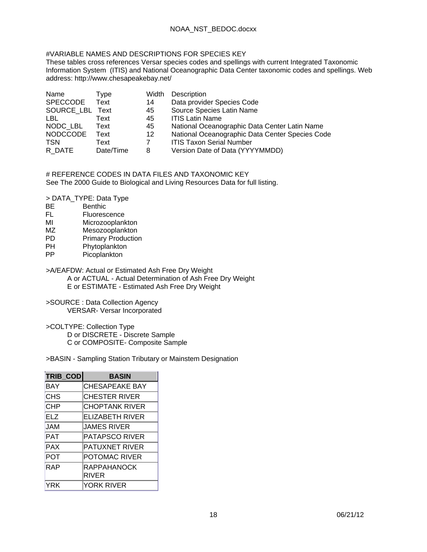### #VARIABLE NAMES AND DESCRIPTIONS FOR SPECIES KEY

These tables cross references Versar species codes and spellings with current Integrated Taxonomic Information System (ITIS) and National Oceanographic Data Center taxonomic codes and spellings. Web address: http://www.chesapeakebay.net/

| Name            | Type      | Width | Description                                     |
|-----------------|-----------|-------|-------------------------------------------------|
| <b>SPECCODE</b> | Text      | 14    | Data provider Species Code                      |
| SOURCE LBL Text |           | 45    | Source Species Latin Name                       |
| LBL.            | Text      | 45    | <b>ITIS Latin Name</b>                          |
| NODC LBL        | Text      | 45    | National Oceanographic Data Center Latin Name   |
| <b>NODCCODE</b> | Text      | 12    | National Oceanographic Data Center Species Code |
| <b>TSN</b>      | Text      |       | <b>ITIS Taxon Serial Number</b>                 |
| R DATE          | Date/Time | 8     | Version Date of Data (YYYYMMDD)                 |

# REFERENCE CODES IN DATA FILES AND TAXONOMIC KEY See The 2000 Guide to Biological and Living Resources Data for full listing.

> DATA\_TYPE: Data Type

- BE Benthic<br>FL Fluoreso
- Fluorescence
- MI Microzooplankton
- MZ Mesozooplankton<br>
PD Primary Production
- PD Primary Production<br>PH Phytoplankton
- Phytoplankton
- PP Picoplankton
- >A/EAFDW: Actual or Estimated Ash Free Dry Weight A or ACTUAL - Actual Determination of Ash Free Dry Weight E or ESTIMATE - Estimated Ash Free Dry Weight
- >SOURCE : Data Collection Agency VERSAR- Versar Incorporated
- >COLTYPE: Collection Type D or DISCRETE - Discrete Sample C or COMPOSITE- Composite Sample

### >BASIN - Sampling Station Tributary or Mainstem Designation

| TRIB_COD   | <b>BASIN</b>                |
|------------|-----------------------------|
| <b>BAY</b> | <b>CHESAPEAKE BAY</b>       |
| <b>CHS</b> | CHESTER RIVER               |
| <b>CHP</b> | <b>CHOPTANK RIVER</b>       |
| E1Z        | <b>ELIZABETH RIVER</b>      |
| <b>JAM</b> | JAMES RIVER                 |
| <b>PAT</b> | <b>PATAPSCO RIVER</b>       |
| <b>PAX</b> | <b>PATUXNET RIVER</b>       |
| POT        | <b>POTOMAC RIVER</b>        |
| RAP        | <b>RAPPAHANOCK</b><br>RIVER |
| YRK        | <b>YORK RIVER</b>           |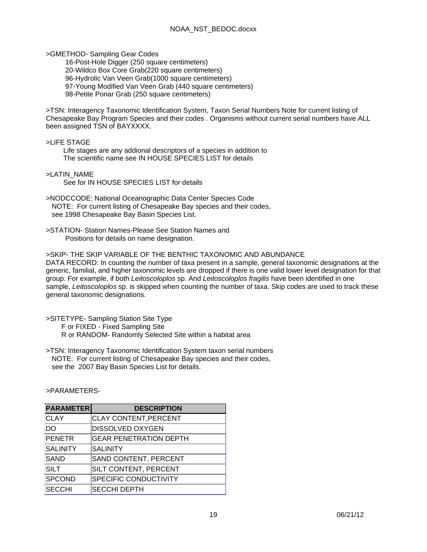>GMETHOD- Sampling Gear Codes

 16-Post-Hole Digger (250 square centimeters) 20-Wildco Box Core Grab(220 square centimeters) 96-Hydrolic Van Veen Grab(1000 square centimeters) 97-Young Modified Van Veen Grab (440 square centimeters) 98-Petite Ponar Grab (250 square centimeters)

>TSN: Interagency Taxonomic Identification System, Taxon Serial Numbers Note for current listing of Chesapeake Bay Program Species and their codes . Organisms without current serial numbers have ALL been assigned TSN of BAYXXXX.

>LIFE STAGE

 Life stages are any addional descriptors of a species in addition to The scientific name see IN HOUSE SPECIES LIST for details

>LATIN\_NAME See for IN HOUSE SPECIES LIST for details

>NODCCODE: National Oceanographic Data Center Species Code NOTE: For current listing of Chesapeake Bay species and their codes, see 1998 Chesapeake Bay Basin Species List.

>STATION- Station Names-Please See Station Names and Positions for details on name designation.

>SKIP- THE SKIP VARIABLE OF THE BENTHIC TAXONOMIC AND ABUNDANCE DATA RECORD: In counting the number of taxa present in a sample, general taxonomic designations at the generic, familial, and higher taxonomic levels are dropped if there is one valid lower level designation for that group. For example, if both *Leitoscoloplos* sp. And *Leitoscoloplos fragilis* have been identified in one sample, *Leitoscoloplos* sp. is skipped when counting the number of taxa. Skip codes are used to track these general taxonomic designations.

>SITETYPE- Sampling Station Site Type

F or FIXED - Fixed Sampling Site

R or RANDOM- Randomly Selected Site within a habitat area

>TSN: Interagency Taxonomic Identification System taxon serial numbers NOTE: For current listing of Chesapeake Bay species and their codes, see the 2007 Bay Basin Species List for details.

| <b>PARAMETER</b> | <b>DESCRIPTION</b>            |
|------------------|-------------------------------|
| <b>CLAY</b>      | <b>CLAY CONTENT, PERCENT</b>  |
| DO               | <b>DISSOLVED OXYGEN</b>       |
| <b>PENETR</b>    | <b>GEAR PENETRATION DEPTH</b> |
| <b>SALINITY</b>  | SALINITY                      |
| <b>SAND</b>      | SAND CONTENT, PERCENT         |
| <b>SILT</b>      | SILT CONTENT, PERCENT         |
| <b>SPCOND</b>    | <b>SPECIFIC CONDUCTIVITY</b>  |
| <b>SECCHI</b>    | <b>SECCHI DEPTH</b>           |

>PARAMETERS-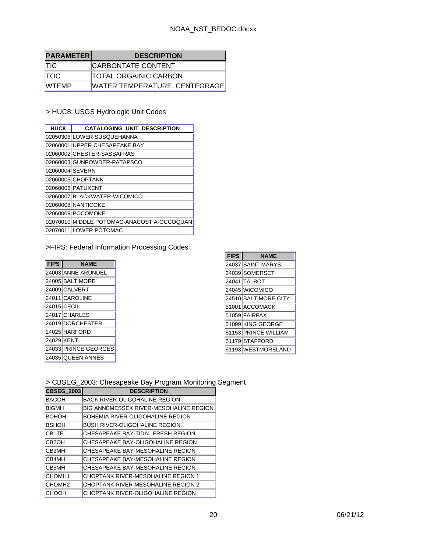| <b>PARAMETERI</b> | <b>DESCRIPTION</b>            |
|-------------------|-------------------------------|
| <b>TIC</b>        | <b>CARBONTATE CONTENT</b>     |
| <b>TOC</b>        | <b>TOTAL ORGAINIC CARBON</b>  |
| <b>WTEMP</b>      | WATER TEMPERATURE, CENTEGRAGE |

> HUC8: USGS Hydrologic Unit Codes

| HUC8            | <b>CATALOGING UNIT DESCRIPTION</b>         |
|-----------------|--------------------------------------------|
|                 | 02050306 LOWER SUSQUEHANNA                 |
|                 | 02060001 UPPER CHESAPEAKE BAY              |
|                 | 02060002 CHESTER-SASSAFRAS                 |
|                 | 02060003 GUNPOWDER-PATAPSCO                |
| 02060004 SEVERN |                                            |
|                 | 02060005 CHOPTANK                          |
|                 | 02060006 PATUXENT                          |
|                 | 02060007 BLACKWATER-WICOMICO               |
|                 | 02060008 NANTICOKE                         |
|                 | 02060009 POCOMOKE                          |
|                 | 02070010 MIDDLE POTOMAC-ANACOSTIA-OCCOQUAN |
|                 | 02070011 LOWER POTOMAC                     |

## >FIPS: Federal Information Processing Codes

| <b>FIPS</b> | <b>NAME</b>          |
|-------------|----------------------|
|             | 24003 ANNE ARUNDEL   |
|             | 24005 BALTIMORE      |
|             | 24009 CALVERT        |
|             | 24011 CAROLINE       |
|             | 24015 CECIL          |
|             | 24017 CHARLES        |
|             | 24019 DORCHESTER     |
|             | 24025 HARFORD        |
| 24029 KENT  |                      |
|             | 24033 PRINCE GEORGES |
|             | 24035 QUEEN ANNES    |

| <b>FIPS</b> | <b>NAME</b>          |
|-------------|----------------------|
|             | 24037 SAINT MARYS    |
|             | 24039 SOMERSET       |
|             | 24041 TALBOT         |
|             | 24045 WICOMICO       |
|             | 24510 BALTIMORE CITY |
|             | 51001 ACCOMACK       |
|             | 51059 FAIRFAX        |
|             | 51099 KING GEORGE    |
|             | 51153 PRINCE WILLIAM |
|             | 51179 STAFFORD       |
|             | 51193 WESTMORELAND   |

## > CBSEG\_2003: Chesapeake Bay Program Monitoring Segment

| <b>CBSEG 2003</b>  | <b>DESCRIPTION</b>                            |
|--------------------|-----------------------------------------------|
| BACOH              | <b>BACK RIVER-OLIGOHALINE REGION</b>          |
| <b>BIGMH</b>       | <b>BIG ANNEMESSEX RIVER-MESOHALINE REGION</b> |
| <b>BOHOH</b>       | BOHEMIA RIVER-OLIGOHALINE REGION              |
| <b>BSHOH</b>       | BUSH RIVER-OLIGOHALINE REGION                 |
| <b>CB1TF</b>       | CHESAPEAKE BAY-TIDAL FRESH REGION             |
| CB <sub>2</sub> OH | CHESAPEAKE BAY-OLIGOHALINE REGION             |
| CB3MH              | CHESAPEAKE BAY-MESOHALINE REGION              |
| CB4MH              | CHESAPEAKE BAY-MESOHALINE REGION              |
| CB5MH              | CHESAPEAKE BAY-MESOHALINE REGION              |
| CHOMH <sub>1</sub> | CHOPTANK RIVER-MESOHALINE REGION 1            |
| CHOMH <sub>2</sub> | CHOPTANK RIVER-MESOHALINE REGION 2            |
| СНООН              | CHOPTANK RIVER-OLIGOHALINE REGION             |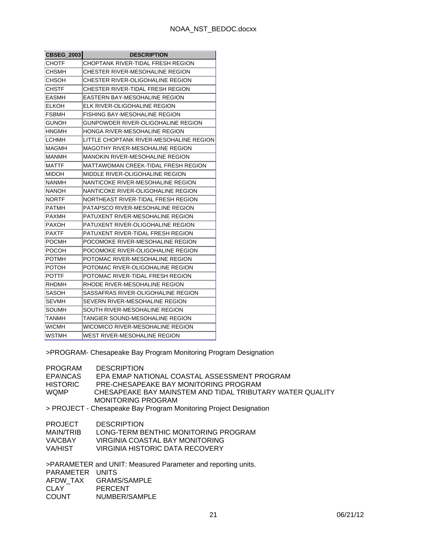| <b>CBSEG_2003</b> | <b>DESCRIPTION</b>                      |
|-------------------|-----------------------------------------|
| СНОТЕ             | CHOPTANK RIVER-TIDAL FRESH REGION       |
| снѕмн             | CHESTER RIVER-MESOHALINE REGION         |
| CHSOH             | CHESTER RIVER-OLIGOHALINE REGION        |
| CHSTF             | CHESTER RIVER-TIDAL FRESH REGION        |
| EASMH             | EASTERN BAY-MESOHALINE REGION           |
| ELKOH             | ELK RIVER-OLIGOHALINE REGION            |
| <b>FSBMH</b>      | FISHING BAY-MESOHALINE REGION           |
| <b>GUNOH</b>      | GUNPOWDER RIVER-OLIGOHALINE REGION      |
| HNGMH             | HONGA RIVER-MESOHALINE REGION           |
| LCHMH             | LITTLE CHOPTANK RIVER-MESOHALINE REGION |
| MAGMH             | MAGOTHY RIVER-MESOHALINE REGION         |
| MANMH             | MANOKIN RIVER-MESOHALINE REGION         |
| MATTF             | MATTAWOMAN CREEK-TIDAL FRESH REGION     |
| MIDOH             | MIDDLE RIVER-OLIGOHALINE REGION         |
| NANMH             | NANTICOKE RIVER-MESOHALINE REGION       |
| NANOH             | NANTICOKE RIVER-OLIGOHALINE REGION      |
| <b>NORTF</b>      | NORTHEAST RIVER-TIDAL FRESH REGION      |
| PATMH             | PATAPSCO RIVER-MESOHALINE REGION        |
| <b>PAXMH</b>      | PATUXENT RIVER-MESOHALINE REGION        |
| PAXOH             | PATUXENT RIVER-OLIGOHALINE REGION       |
| PAXTF             | PATUXENT RIVER-TIDAL FRESH REGION       |
| POCMH             | POCOMOKE RIVER-MESOHALINE REGION        |
| POCOH             | POCOMOKE RIVER-OLIGOHALINE REGION       |
| POTMH             | POTOMAC RIVER-MESOHALINE REGION         |
| РОТОН             | POTOMAC RIVER-OLIGOHALINE REGION        |
| POTTF             | POTOMAC RIVER-TIDAL FRESH REGION        |
| RHDMH             | RHODE RIVER-MESOHALINE REGION           |
| SASOH             | SASSAFRAS RIVER-OLIGOHALINE REGION      |
| SEVMH             | SEVERN RIVER-MESOHALINE REGION          |
| SOUMH             | SOUTH RIVER-MESOHALINE REGION           |
| TANMH             | TANGIER SOUND-MESOHALINE REGION         |
| WICMH             | WICOMICO RIVER-MESOHALINE REGION        |
| WSTMH             | WEST RIVER-MESOHALINE REGION            |

>PROGRAM- Chesapeake Bay Program Monitoring Program Designation

| <b>PROGRAM</b><br><b>EPAINCAS</b><br><b>HISTORIC</b><br><b>WOMP</b>             | <b>DESCRIPTION</b><br>EPA EMAP NATIONAL COASTAL ASSESSMENT PROGRAM<br>PRE-CHESAPEAKE BAY MONITORING PROGRAM<br>CHESAPEAKE BAY MAINSTEM AND TIDAL TRIBUTARY WATER QUALITY<br><b>MONITORING PROGRAM</b> |
|---------------------------------------------------------------------------------|-------------------------------------------------------------------------------------------------------------------------------------------------------------------------------------------------------|
|                                                                                 | > PROJECT - Chesapeake Bay Program Monitoring Project Designation                                                                                                                                     |
| <b>PROJECT</b><br><b>MAIN/TRIB</b><br>VA/CBAY<br>VA/HIST                        | <b>DESCRIPTION</b><br>LONG-TERM BENTHIC MONITORING PROGRAM<br>VIRGINIA COASTAL BAY MONITORING<br>VIRGINIA HISTORIC DATA RECOVERY                                                                      |
| >PARAMETER and UNIT: Measured Parameter and reporting units.<br>PARAMETER UNITS |                                                                                                                                                                                                       |

PARAMETER UNITS AFDW\_TAX GRAMS/SAMPLE CLAY PERCENT<br>COUNT NUMBER/S NUMBER/SAMPLE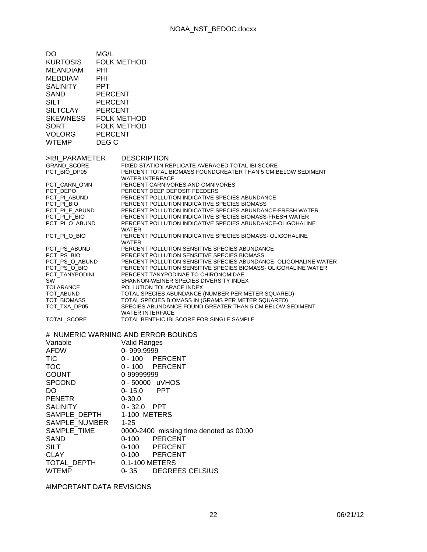| DO<br><b>KURTOSIS</b><br><b>MEANDIAM</b><br><b>MEDDIAM</b><br><b>SALINITY</b><br><b>SAND</b><br><b>SILT</b><br><b>SILTCLAY</b><br><b>SKEWNESS</b><br><b>SORT</b><br><b>VOLORG</b><br><b>WTEMP</b> | MG/L<br><b>FOLK METHOD</b><br>PHI<br>PHI<br><b>PPT</b><br><b>PERCENT</b><br><b>PERCENT</b><br><b>PERCENT</b><br><b>FOLK METHOD</b><br><b>FOLK METHOD</b><br><b>PERCENT</b><br>DEG C |
|---------------------------------------------------------------------------------------------------------------------------------------------------------------------------------------------------|-------------------------------------------------------------------------------------------------------------------------------------------------------------------------------------|
| >IBI PARAMETER                                                                                                                                                                                    | <b>DESCRIPTION</b>                                                                                                                                                                  |
| <b>GRAND SCORE</b><br>PCT_BIO_DP05                                                                                                                                                                | FIXED STATION REPLICATE AVERAGED TOTAL IBI SCORE<br>PERCENT TOTAL BIOMASS FOUNDGREATER THAN 5 CM BELOW SEDIMENT<br><b>WATER INTERFACE</b>                                           |
| PCT_CARN_OMN                                                                                                                                                                                      | PERCENT CARNIVORES AND OMNIVORES                                                                                                                                                    |
| PCT_DEPO<br>PCT PI ABUND                                                                                                                                                                          | PERCENT DEEP DEPOSIT FEEDERS<br>PERCENT POLLUTION INDICATIVE SPECIES ABUNDANCE                                                                                                      |
| PCT_PI_BIO                                                                                                                                                                                        | PERCENT POLLUTION INDICATIVE SPECIES BIOMASS                                                                                                                                        |
| PCT_PI_F_ABUND<br>PCT PI F BIO                                                                                                                                                                    | PERCENT POLLUTION INDICATIVE SPECIES ABUNDANCE-FRESH WATER<br>PERCENT POLLUTION INDICATIVE SPECIES BIOMASS-FRESH WATER                                                              |
| PCT_PI_O_ABUND                                                                                                                                                                                    | PERCENT POLLUTION INDICATIVE SPECIES ABUNDANCE-OLIGOHALINE                                                                                                                          |
| PCT_PI_O_BIO                                                                                                                                                                                      | <b>WATER</b><br>PERCENT POLLUTION INDICATIVE SPECIES BIOMASS-OLIGOHALINE<br>WATER                                                                                                   |
| PCT_PS_ABUND                                                                                                                                                                                      | PERCENT POLLUTION SENSITIVE SPECIES ABUNDANCE                                                                                                                                       |
| PCT_PS_BIO<br>PCT_PS_O_ABUND                                                                                                                                                                      | PERCENT POLLUTION SENSITIVE SPECIES BIOMASS<br>PERCENT POLLUTION SENSITIVE SPECIES ABUNDANCE- OLIGOHALINE WATER                                                                     |
| PCT_PS_O_BIO                                                                                                                                                                                      | PERCENT POLLUTION SENSITIVE SPECIES BIOMASS- OLIGOHALINE WATER                                                                                                                      |
| PCT_TANYPODINI                                                                                                                                                                                    | PERCENT TANYPODINAE TO CHIRONOMIDAE                                                                                                                                                 |
| SW<br>TOLARANCE                                                                                                                                                                                   | SHANNON-WEINER SPECIES DIVERSITY INDEX<br>POLLUTION TOLARACE INDEX                                                                                                                  |
| TOT_ABUND                                                                                                                                                                                         | TOTAL SPECIES ABUNDANCE (NUMBER PER METER SQUARED)                                                                                                                                  |
| TOT_BIOMASS                                                                                                                                                                                       | TOTAL SPECIES BIOMASS IN (GRAMS PER METER SQUARED)                                                                                                                                  |
| TOT_TXA_DP05                                                                                                                                                                                      | SPECIES ABUNDANCE FOUND GREATER THAN 5 CM BELOW SEDIMENT<br><b>WATER INTERFACE</b>                                                                                                  |
| TOTAL_SCORE                                                                                                                                                                                       | TOTAL BENTHIC IBI SCORE FOR SINGLE SAMPLE                                                                                                                                           |
|                                                                                                                                                                                                   | # NUMERIC WARNING AND ERROR BOUNDS                                                                                                                                                  |
| Variable                                                                                                                                                                                          | <b>Valid Ranges</b>                                                                                                                                                                 |
| <b>AFDW</b>                                                                                                                                                                                       | 0-999.9999                                                                                                                                                                          |
| <b>TIC</b>                                                                                                                                                                                        | <b>PERCENT</b><br>$0 - 100$                                                                                                                                                         |
| тос                                                                                                                                                                                               | $0 - 100$<br><b>PERCENT</b>                                                                                                                                                         |
| <b>COUNT</b>                                                                                                                                                                                      | 0-99999999                                                                                                                                                                          |
| <b>SPCOND</b>                                                                                                                                                                                     | $0 - 50000$<br>uVHOS                                                                                                                                                                |
| DO                                                                                                                                                                                                | <b>PPT</b><br>$0 - 15.0$                                                                                                                                                            |
| <b>PENETR</b>                                                                                                                                                                                     | $0 - 30.0$                                                                                                                                                                          |
| <b>SALINITY</b>                                                                                                                                                                                   | 0-32.0 PPT                                                                                                                                                                          |
| SAMPLE_DEPTH                                                                                                                                                                                      | 1-100 METERS                                                                                                                                                                        |
| SAMPLE_NUMBER                                                                                                                                                                                     | $1 - 25$                                                                                                                                                                            |
| SAMPLE_TIME                                                                                                                                                                                       | 0000-2400 missing time denoted as 00:00                                                                                                                                             |
| SAND<br><b>SILT</b>                                                                                                                                                                               | <b>PERCENT</b><br>$0 - 100$<br>$0 - 100$                                                                                                                                            |
| <b>CLAY</b>                                                                                                                                                                                       | <b>PERCENT</b><br>$0 - 100$<br><b>PERCENT</b>                                                                                                                                       |
| TOTAL_DEPTH                                                                                                                                                                                       | 0.1-100 METERS                                                                                                                                                                      |
| <b>WTEMP</b>                                                                                                                                                                                      | $0 - 35$<br><b>DEGREES CELSIUS</b>                                                                                                                                                  |

#IMPORTANT DATA REVISIONS